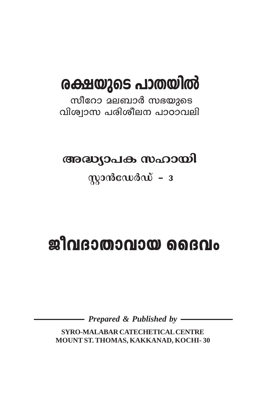# രക്ഷയുടെ പാതയിൽ

സീറോ മലബാർ സഭയുടെ വിശ്വാസ പരിശീലന പാഠാവലി

അദ്ധ്യാപക സഹായി

 $m$ ാൻഡേർഡ് –  $3$ 

# ജീവദാതാവായ ദൈവം

Prepared & Published by -

SYRO-MALABAR CATECHETICAL CENTRE MOUNT ST. THOMAS, KAKKANAD, KOCHI-30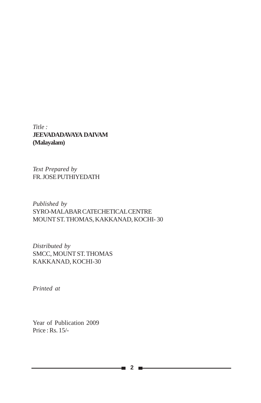*Title :* **JEEVADADAVAYA DAIVAM (Malayalam)**

*Text Prepared by* FR. JOSE PUTHIYEDATH

*Published by* SYRO-MALABAR CATECHETICAL CENTRE MOUNT ST. THOMAS, KAKKANAD, KOCHI- 30

*Distributed by* SMCC, MOUNT ST. THOMAS KAKKANAD, KOCHI-30

*Printed at*

Year of Publication 2009 Price : Rs. 15/-

**2**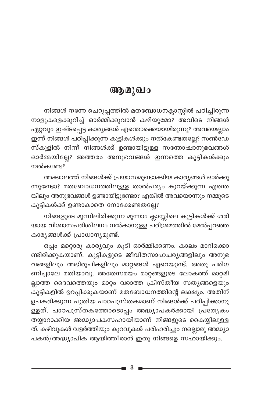## ആമുഖം

നിങ്ങൾ നന്നേ ചെറുപ്പത്തിൽ മതബോധനക്ലാസ്സിൽ പഠിച്ചിരുന്ന നാളുകളെക്കുറിച്ച് ഓർമ്മിക്കുവാൻ കഴിയുമോ? അവിടെ നിങ്ങൾ ഏറ്റവും ഇഷ്ടപ്പെട്ട കാര്യങ്ങൾ എന്തൊക്കെയായിരുന്നു? അവയെല്ലാം ഇന്ന് നിങ്ങൾ പഠിപ്പിക്കുന്ന കുട്ടികൾക്കും നൽകേണ്ടതല്ലേ? സൺഡേ സ്കൂളിൽ നിന്ന് നിങ്ങൾക്ക് ഉണ്ടായിട്ടുള്ള സന്തോഷാനുഭവങ്ങൾ ഓർമ്മയില്ലേ? അത്തരം അനുഭവങ്ങൾ ഇന്നത്തെ കുട്ടികൾക്കും നൽകണ്ടേ?

അക്കാലത്ത് നിങ്ങൾക്ക് പ്രയാസമുണ്ടാക്കിയ കാര്യങ്ങൾ ഓർക്കു ന്നുണ്ടോ? മതബോധനത്തിലുള്ള താൽപര്യം കുറയ്ക്കുന്ന എന്തെ ങ്കിലും അനുഭവങ്ങൾ ഉണ്ടായിട്ടുണ്ടോ? എങ്കിൽ അവയൊന്നും നമ്മുടെ കുട്ടികൾക്ക് ഉണ്ടാകാതെ നോക്കേണ്ടതല്ലേ?

നിങ്ങളുടെ മുന്നിലിരിക്കുന്ന മൂന്നാം ക്ലാസ്സിലെ കുട്ടികൾക്ക് ശരി യായ വിശ്വാസപരിശീലനം നൽകാനുള്ള പരിശ്രമത്തിൽ മേൽപ്പറഞ്ഞ കാര്യങ്ങൾക്ക് പ്രാധാന്യമുണ്ട്.

ഒപ്പം മറ്റൊരു കാര്യവും കൂടി ഓർമ്മിക്കണം. കാലം മാറിക്കൊ ണ്ടിരിക്കുകയാണ്. കുട്ടികളുടെ ജീവിതസാഹചര്യങ്ങളിലും അനുഭ വങ്ങളിലും അഭിരുചികളിലും മാറ്റങ്ങൾ ഏറെയുണ്ട്. അതു പരിഗ ണിച്ചാലേ മതിയാവൂ. അതേസമയം മാറ്റങ്ങളുടെ ലോകത്ത് മാറ്റമി ല്ലാത്ത ദൈവത്തെയും മാറ്റം വരാത്ത ക്രിസ്തീയ സത്യങ്ങളെയും കുട്ടികളിൽ ഉറപ്പിക്കുകയാണ് മതബോധനത്തിന്റെ ലക്ഷ്യം. അതിന് ഉപകരിക്കുന്ന പുതിയ പാഠപുസ്തകമാണ് നിങ്ങൾക്ക് പഠിപ്പിക്കാനു ള്ളത്. പാഠപുസ്തകത്തോടൊപ്പം അദ്ധ്യാപകർക്കായി പ്രത്യേകം തയ്യാറാക്കിയ അദ്ധ്യാപകസഹായിയാണ് നിങ്ങളുടെ കൈയ്യിലുള്ള ത്. കഴിവുകൾ വളർത്തിയും കുറവുകൾ പരിഹരിച്ചും നല്ലൊരു അദ്ധ്യാ പകൻ/അദ്ധ്യാപിക ആയിത്തീരാൻ ഇതു നിങ്ങളെ സഹായിക്കും.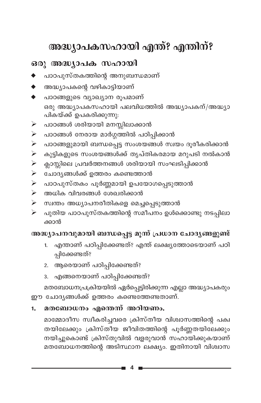# അദ്ധ്യാപകസഹായി എന്ത്? എന്തിന്?

## ഒരു അദ്ധ്യാപക സഹായി

- പാഠപുസ്തകത്തിന്റെ അനുബന്ധമാണ്
- അദ്ധ്യാപകന്റെ വഴികാട്ടിയാണ്
- പാഠങ്ങളുടെ വ്യാഖ്യാന രൂപമാണ് ഒരു അദ്ധ്യാപകസഹായി പലവിധത്തിൽ അദ്ധ്യാപകന്/അദ്ധ്യാ പികയ്ക്ക് ഉപകരിക്കുന്നു:
- പാഠങ്ങൾ ശരിയായി മനസ്സിലാക്കാൻ ➤
- പാഠങ്ങൾ നേരായ മാർഗ്ഗത്തിൽ പഠിപ്പിക്കാൻ  $\blacktriangleright$
- പാഠങ്ങളുമായി ബന്ധപ്പെട്ട സംശയങ്ങൾ സ്വയം ദൂരീകരിക്കാൻ  $\blacktriangleright$
- കുട്ടികളുടെ സംശയങ്ങൾക്ക് തൃപ്തികരമായ മറുപടി നൽകാൻ  $\blacktriangleright$
- ക്ലാസ്സിലെ പ്രവർത്തനങ്ങൾ ശരിയായി സംഘടിപ്പിക്കാൻ  $\blacktriangleright$
- $\blacktriangleright$ ചോദ്യങ്ങൾക്ക് ഉത്തരം കണ്ടെത്താൻ
- പാഠപുസ്തകം പൂർണ്ണമായി ഉപയോഗപ്പെടുത്താൻ  $\blacktriangleright$
- അധിക വിവരങ്ങൾ ശേഖരിക്കാൻ  $\blacktriangleright$
- സ്വന്തം അധ്യാപനരീതികളെ മെച്ചപ്പെടുത്താൻ  $\blacktriangleright$
- പുതിയ പാഠപുസ്തകത്തിന്റെ സമീപനം ഉൾക്കൊണ്ടു നടപ്പിലാ ≻ ക്കാൻ

### അദ്ധ്യാപനവുമായി ബന്ധപ്പെട്ട മൂന്ന് പ്രധാന ചോദ്യങ്ങളുണ്ട്

- എന്താണ് പഠിപ്പിക്കേണ്ടത്? എന്ത് ലക്ഷ്യത്തോടെയാണ് പഠി  $1<sub>1</sub>$ പ്പിക്കേണ്ടത്?
- 2. ആരെയാണ് പഠിപ്പിക്കേണ്ടത്?
- 3. എങ്ങനെയാണ് പഠിപ്പിക്കേണ്ടത്?

മതബോധനപ്രക്രിയയിൽ ഏർപ്പെട്ടിരിക്കുന്ന എല്ലാ അദ്ധ്യാപകരും ഈ ചോദ്യങ്ങൾക്ക് ഉത്തരം കണ്ടെത്തേണ്ടതാണ്.

#### മതബോധനം എന്തെന്ന് അറിയണം.  $1.$

മാമ്മോദീസ സ്വീകരിച്ചവരെ ക്രിസ്തീയ വിശ്വാസത്തിന്റെ പക്വ തയിലേക്കും ക്രിസ്തീയ ജീവിതത്തിന്റെ പൂർണ്ണതയിലേക്കും നയിച്ചുകൊണ്ട് ക്രിസ്തുവിൽ വളരുവാൻ സഹായിക്കുകയാണ് മതബോധനത്തിന്റെ അടിസ്ഥാന ലക്ഷ്യം. ഇതിനായി വിശ്വാസ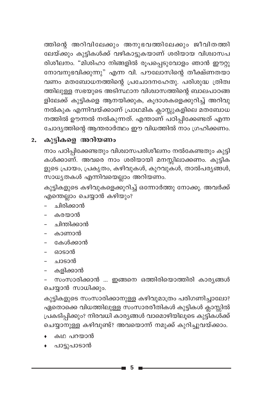ത്തിന്റെ അറിവിലേക്കും അനുഭവത്തിലേക്കും ജീവിതത്തി ലേയ്ക്കും കുട്ടികൾക്ക് വഴികാട്ടുകയാണ് ശരിയായ വിശ്വാസപ രിശീലനം. "മിശിഹാ നിങ്ങളിൽ രൂപപ്പെടുവോളം ഞാൻ ഈറ്റു നോവനുഭവിക്കുന്നു" എന്ന വി. പൗലോസിന്റെ തീക്ഷ്ണതയാ വണം മതബോധനത്തിന്റെ പ്രചോദനഹേതു. പരിശുദ്ധ ത്രിത്വ ത്തിലുള്ള സഭയുടെ അടിസ്ഥാന വിശ്വാസത്തിന്റെ ബാലപാഠങ്ങ ളിലേക്ക് കുട്ടികളെ ആനയിക്കുക, കൂദാശകളെക്കുറിച്ച് അറിവു –<br>നൽകുക എന്നിവയ്ക്കാണ് പ്രാഥമിക ക്ലാസ്സുകളിലെ മതബോധ നത്തിൽ ഊന്നൽ നൽകുന്നത്. എന്താണ് പഠിപ്പിക്കേണ്ടത് എന്ന ചോദ്യത്തിന്റെ ആന്തരാർത്ഥം ഈ വിധത്തിൽ നാം ഗ്രഹിക്കണം.

#### കുട്ടികളെ അറിയണം  $2.$

നാം പഠിപ്പിക്കേണ്ടതും വിശ്വാസപരിശീലനം നൽകേണ്ടതും കുട്ടി .<br>കൾക്കാണ്. അവരെ നാം ശരിയായി മനസ്സിലാക്കണം. കുട്ടിക ളുടെ പ്രായം, പ്രകൃതം, കഴിവുകൾ, കുറവുകൾ, താൽപര്യങ്ങൾ, സാധ്യതകൾ എന്നിവയെല്ലാം അറിയണം.

കുട്ടികളുടെ കഴിവുകളെക്കുറിച്ച് ഒന്നോർത്തു നോക്കൂ. അവർക്ക് എന്തെല്ലാം ചെയ്യാൻ കഴിയും?

- ചിരിക്കാൻ
- കരയാൻ
- ചിന്തിക്കാൻ
- കാണാൻ
- കേൾക്കാൻ
- ഓടാൻ
- ചാടാൻ
- കളിക്കാൻ

സംസാരിക്കാൻ ... ഇങ്ങനെ ഒത്തിരിയൊത്തിരി കാര്യങ്ങൾ ചെയ്യാൻ സാധിക്കും.

കുട്ടികളുടെ സംസാരിക്കാനുള്ള കഴിവുമാത്രം പരിഗണിച്ചാലോ? ഏതൊക്കെ വിധത്തിലുള്ള സംസാരരീതികൾ കുട്ടികൾ ക്ലാസ്സിൽ പ്രകടിപ്പിക്കും? നിരവധി കാര്യങ്ങൾ വാമൊഴിയിലൂടെ കുട്ടികൾക്ക് ചെയ്യാനുള്ള കഴിവുണ്ട്? അവയൊന്ന് നമുക്ക് കുറിച്ചുവയ്ക്കാം.

- കഥ പറയാൻ
- പാട്ടുപാടാൻ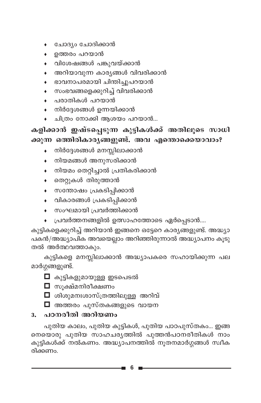- ചോദ്യം ചോദിക്കാൻ
- ഉത്തരം പറയാൻ
- വിശേഷങ്ങൾ പങ്കുവയ്ക്കാൻ
- അറിയാവുന്ന കാര്യങ്ങൾ വിവരിക്കാൻ
- ഭാവനാപരമായി ചിന്തിച്ചുപറയാൻ
- സംഭവങ്ങളെക്കുറിച്ച് വിവരിക്കാൻ
- പരാതികൾ പറയാൻ
- നിർദ്ദേശങ്ങൾ ഉന്നയിക്കാൻ  $\bullet$
- ചിത്രം നോക്കി ആശയം പറയാൻ...

## കളിക്കാൻ ഇഷ്ടപ്പെടുന്ന കുട്ടികൾക്ക് അതിലൂടെ സാധി ക്കുന്ന ഒത്തിരികാരൃങ്ങളുണ്ട്. അവ എന്തൊക്കെയാവാം?

- നിർദ്ദേശങ്ങൾ മനസ്സിലാക്കാൻ
- നിയമങ്ങൾ അനുസരിക്കാൻ  $\bullet$
- നിയമം തെറ്റിച്ചാൽ പ്രതികരിക്കാൻ  $\bullet$
- തെറ്റുകൾ തിരുത്താൻ
- സന്തോഷം പ്രകടിപ്പിക്കാൻ
- വികാരങ്ങൾ പ്രകടിപ്പിക്കാൻ
- ◆ സംഘമായി പ്രവർത്തിക്കാൻ
- പ്രവർത്തനങ്ങളിൽ ഉത്സാഹത്തോടെ ഏർപ്പെടാൻ....

കുട്ടികളെക്കുറിച്ച് അറിയാൻ ഇങ്ങനെ ഒട്ടേറെ കാര്യങ്ങളുണ്ട്. അദ്ധ്യാ പകൻ/അദ്ധ്യാപിക അവയെല്ലാം അറിഞ്ഞിരുന്നാൽ അദ്ധ്യാപനം കൂടു തൽ അർത്ഥവത്താകും.

കുട്ടികളെ മനസ്സിലാക്കാൻ അദ്ധ്യാപകരെ സഹായിക്കുന്ന പല മാർഗ്ഗങ്ങളുണ്ട്.

- $\Box$  കുട്ടികളുമായുള്ള ഇടപെടൽ
- ◘ സുക്ഷ്മനിരീക്ഷണം
- $\Box$  ശിശുമനഃശാസ്ത്രത്തിലുള്ള അറിവ്
- $\Box$  അത്തരം പുസ്തകങ്ങളുടെ വായന

### <u>3. പഠനരീതി അറിയണം</u>

പുതിയ കാലം, പുതിയ കുട്ടികൾ, പുതിയ പാഠപുസ്തകം... ഇങ്ങ നെയൊരു പുതിയ സാഹചര്യത്തിൽ പുത്തൻപഠനരീതികൾ നാം കുട്ടികൾക്ക് നൽകണം. അദ്ധ്യാപനത്തിൽ നൂതനമാർഗ്ഗങ്ങൾ സ്വീക രിക്കണം.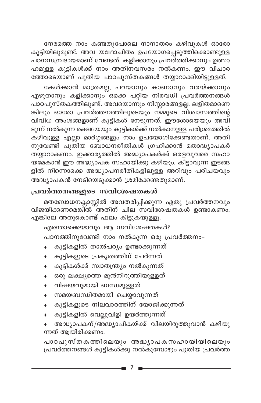നേരത്തെ നാം കണ്ടതുപോലെ നാനാതരം കഴിവുകൾ ഓരോ കുട്ടിയിലുമുണ്ട്. അവ യഥോചിതം ഉപയോഗപ്പെടുത്തിക്കൊണ്ടുള്ള പഠനസമ്പ്രദായമാണ് വേണ്ടത്. കളിക്കാനും പ്രവർത്തിക്കാനും ഉത്സാ ഹമുള്ള കുട്ടികൾക്ക് നാം അതിനവസരം നൽകണം. ഈ വിചാര ത്തോടെയാണ് പുതിയ പാഠപുസ്തകങ്ങൾ തയ്യാറാക്കിയിട്ടുള്ളത്.

കേൾക്കാൻ മാത്രമല്ല, പറയാനും കാണാനും വരയ്ക്കാനും എഴുതാനും കളിക്കാനും ഒക്കെ പറ്റിയ നിരവധി പ്രവർത്തനങ്ങൾ പാഠപുസ്തകത്തിലുണ്ട്. അവയൊന്നും നിസ്സാരങ്ങളല്ല. ലളിതമാണെ ങ്കിലും ഓരോ പ്രവർത്തനത്തിലൂടെയും നമ്മുടെ വിശ്വാസത്തിന്റെ വിവിധ അംശങ്ങളാണ് കുട്ടികൾ നേടുന്നത്. ഈശോയെയും അവി ടുന്ന് നൽകുന്ന രക്ഷയേയും കുട്ടികൾക്ക് നൽകാനുള്ള പരിശ്രമത്തിൽ കഴിവുള്ള എല്ലാ മാർഗ്ഗങ്ങളും നാം ഉപയോഗിക്കേണ്ടതാണ്. അതി നുവേണ്ടി പുതിയ ബോധനരീതികൾ ഗ്രഹിക്കാൻ മതാദ്ധ്യാപകർ തയ്യാറാകണം. ഇക്കാര്യത്തിൽ അദ്ധ്യാപകർക്ക് ഒരളവുവരെ സഹാ .<br>യമേകാൻ ഈ അദ്ധ്യാപക സഹായിക്കു കഴിയും. കിട്ടാവുന്ന ഇടങ്ങ ളിൽ നിന്നൊക്കെ അദ്ധ്യാപനരീതികളിലുള്ള അറിവും പരിചയവും അദ്ധ്യാപകൻ നേടിയെടുക്കാൻ ശ്രമിക്കേണ്ടതുമാണ്.

#### **പ്രവർത്തനങ്ങളുടെ സവിശേഷതകൾ**

മതബോധനക്ലാസ്സിൽ അവതരിപ്പിക്കുന്ന ഏതു പ്രവർത്തനവും <u>വിജയിക്കണമെങ്കിൽ ര്ത്തിന് ചില<sup>്</sup>സവിശേഷതകൾ ഉണ്ടാകണം.</u> എങ്കിലേ അതുകൊണ്ട് ഫലം കിട്ടുകയുള്ളൂ.

എന്തൊക്കെയാവും ആ സവിശേഷതകൾ? പഠനത്തിനുവേണ്ടി നാം നൽകുന്ന ഒരു പ്രവർത്തനം-

- കുട്ടികളിൽ താൽപര്യം ഉണ്ടാക്കുന്നത്
- കുട്ടികളുടെ പ്രകൃതത്തിന് ചേർന്നത്
- കുട്ടികൾക്ക് സ്വാതന്ത്ര്യ നൽകുന്നത്
- ഒരു ലക്ഷ്യത്തെ മുൻനിറുത്തിയുള്ളത്
- വിഷയവുമായി ബന്ധമുള്ളത്
- സമയബന്ധിതമായി ചെയ്യാവുന്നത്
- കുട്ടികളുടെ നിലവാരത്തിന് യോജിക്കുന്നത്
- കുട്ടികളിൽ വെല്ലുവിളി ഉയർത്തുന്നത്
- അദ്ധ്യാപകന്/അദ്ധ്യാപികയ്ക്ക് വിലയിരുത്തുവാൻ കഴിയു ന്നത് ആയിരിക്കണം.

പാഠപുസ്തകത്തിലെയും അദ്ധ്യാപകസഹായിയിലെയും പ്രവർത്തനങ്ങൾ കുട്ടികൾക്കു നൽകുമ്പോഴും പുതിയ പ്രവർത്ത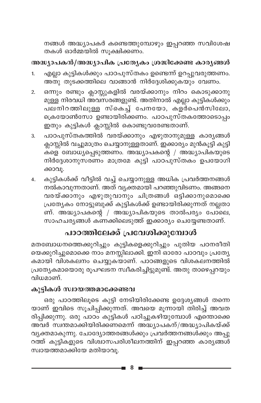നങ്ങൾ അദ്ധ്യാപകർ കണ്ടെത്തുമ്പോഴും ഇപ്പറഞ്ഞ സവിശേഷ തകൾ ഓർമ്മയിൽ സൂക്ഷിക്കണം.

#### അദ്ധ്യാപകൻ/അദ്ധ്യാപിക പ്രത്യേകം ശ്രദ്ധിക്കേണ്ട കാര്യങ്ങൾ

- എല്ലാ കുട്ടികൾക്കും പാഠപുസ്തകം ഉണ്ടെന്ന് ഉറപ്പുവരുത്തണം.  $\mathbf{1}$ അതു തുടക്കത്തിലെ വാങ്ങാൻ നിർദ്ദേശിക്കുകയും വേണം.
- ഒന്നും രണ്ടും ക്ലാസ്സുകളിൽ വരയ്ക്കാനും നിറം കൊടുക്കാനു  $2.$ മുള്ള നിരവധി അവസരങ്ങളുണ്ട്. അതിനാൽ എല്ലാ കുട്ടികൾക്കും പലനിറത്തിലുള്ള സ്കെച്ച് പേനയോ, കളർപെൻസിലോ, ക്രെയോൺസോ ഉണ്ടായിരിക്കണം. പാഠപുസ്തകത്തോടൊപ്പം ഇതും കുട്ടികൾ ക്ലാസ്സിൽ കൊണ്ടുവരേണ്ടതാണ്.
- പാഠപുസ്തകത്തിൽ വരയ്ക്കാനും എഴുതാനുമുള്ള കാര്യങ്ങൾ  $\overline{3}$ . ക്ലാസ്സിൽ വച്ചുമാത്രം ചെയ്യാനുള്ളതാണ്. ഇക്കാര്യം മുൻകൂട്ടി കുട്ടി കളെ ബോധ്യപ്പെടുത്തണം. അദ്ധ്യാപകന്റെ / അദ്ധ്യാപികയുടെ നിർദ്ദേശാനുസരണം മാത്രമേ കുട്ടി പാഠപുസ്തകം ഉപയോഗി ക്കാവൂ.
- കുട്ടികൾക്ക് വീട്ടിൽ വച്ച് ചെയ്യാനുള്ള അധിക പ്രവർത്തനങ്ങൾ 4. നൽകാവുന്നതാണ്. അത് വ്യക്തമായി പറഞ്ഞുവിടണം. അങ്ങനെ വരയ്ക്കാനും എഴുതുവാനും ചിത്രങ്ങൾ ഒട്ടിക്കാനുമൊക്കെ പ്രത്യേകം നോട്ടുബുക്ക് കുട്ടികൾക്ക് ഉണ്ടായിരിക്കുന്നത് നല്ലതാ ണ്. അദ്ധ്യാപകന്റെ / അദ്ധ്യാപികയുടെ താൽപര്യം പോലെ, സാഹചര്യങ്ങൾ കണക്കിലെടുത്ത് ഇക്കാര്യം ചെയ്യേണ്ടതാണ്.

## പാഠത്തിലേക്ക് പ്രവേശിക്കുമ്പോൾ

മതബോധനത്തെക്കുറിച്ചും കുട്ടികളെക്കുറിച്ചും പുതിയ പഠനരീതി യെക്കുറിച്ചുമൊക്കെ നാം മനസ്സിലാക്കി. ഇനി ഓരോ പാഠവും പ്രത്യേ കമായി വിശകലനം ചെയ്യുകയാണ്. പാഠങ്ങളുടെ വിശകലനത്തിൽ പ്രത്യേകമായൊരു രൂപഘടന സ്വീകരിച്ചിട്ടുമുണ്ട്. അതു താഴെപ്പറയും വിധമാണ്.

#### കുട്ടികൾ സ്വായത്തമാക്കേണ്ടവ

ഒരു പാഠത്തിലൂടെ കുട്ടി നേടിയിരിക്കേണ്ട ഉദ്ദേശ്യങ്ങൾ തന്നെ യാണ് ഇവിടെ സൂചിപ്പിക്കുന്നത്. അവയെ മൂന്നായി തിരിച്ച് അവത രിപ്പിക്കുന്നു. ഒരു പാഠം കുട്ടികൾ പഠിച്ചുകഴിയുമ്പോൾ എന്തൊക്കെ അവർ സ്വന്തമാക്കിയിരിക്കണമെന്ന് അദ്ധ്യാപകന്/അദ്ധ്യാപികയ്ക്ക് വ്യക്തമാകുന്നു. ചോദ്യോത്തരങ്ങൾക്കും പ്രവർത്തനങ്ങൾക്കും അപ്പു റത്ത് കുട്ടികളുടെ വിശ്വാസപരിശീലനത്തിന് ഇപ്പറഞ്ഞ കാര്യങ്ങൾ സ്വായത്തമാക്കിയേ മതിയാവു.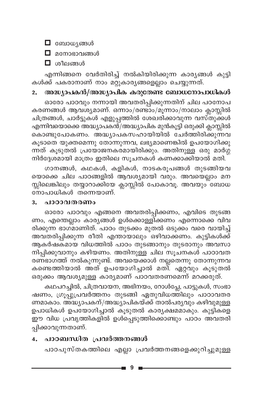$\blacksquare$  ബോധൃങ്ങൾ

 $\Box$  മനോഭാവങ്ങൾ

 $\Box$  ശീലങ്ങൾ

എന്നിങ്ങനെ വേർതിരിച്ച് നൽകിയിരിക്കുന്ന കാര്യങ്ങൾ കുട്ടി കൾക്ക് പകരാനാണ് നാം മറ്റുകാര്യങ്ങളെല്ലാം ചെയ്യുന്നത്.

#### അദ്ധ്യാപകൻ/അദ്ധ്യാപിക കരുതേണ്ട ബോധനോപാധികൾ  $2.$

ഓരോ പാഠവും നന്നായി അവതരിപ്പിക്കുന്നതിന് ചില പഠനോപ കരണങ്ങൾ ആവശ്യമാണ്. ഒന്നാം/രണ്ടാം/മൂന്നാം/നാലാം ക്ലാസ്സിൽ ചിത്രങ്ങൾ, ചാർട്ടുകൾ എളുപ്പത്തിൽ ശേഖരിക്കാവുന്ന വസ്തുക്കൾ എന്നിവയൊക്കെ അദ്ധ്യാപകൻ/അദ്ധ്യാപിക മുൻകൂട്ടി ഒരുക്കി ക്ലാസ്സിൽ കൊണ്ടുപോകണം. അദ്ധ്യാപകസഹായിയിൽ ചേർത്തിരിക്കുന്നവ കൂടാതെ യുക്തമെന്നു തോന്നുന്നവ, ലഭ്യമാണെങ്കിൽ ഉപയോഗിക്കു ന്നത് കൂടുതൽ പ്രയോജനകരമായിരിക്കും. അതിനുള്ള ഒരു മാർഗ്ഗ നിർദ്ദേശമായി മാത്രം ഇതിലെ സൂചനകൾ കണക്കാക്കിയാൽ മതി.

ഗാനങ്ങൾ, കഥകൾ, കളികൾ, നാടകരൂപങ്ങൾ തുടങ്ങിയവ യൊക്കെ ചില പാഠങ്ങളിൽ ആവശ്യമായി വരും. അവയെല്ലാം മന സ്സിലെങ്കിലും തയ്യാറാക്കിയേ ക്ലാസ്സിൽ പോകാവൂ. അവയും ബോധ നോപാധികൾ തന്നെയാണ്.

#### $3.$ പാഠാവതരണം

ഓരോ പാഠവും എങ്ങനെ അവതരിപ്പിക്കണം, എവിടെ തുടങ്ങ ണം, എന്തെല്ലാം കാര്യങ്ങൾ ഉൾക്കൊള്ളിക്കണം എന്നൊക്കെ വിവ രിക്കുന്ന ഭാഗ്മാണിത്. പാഠം തുടക്കം മുതൽ ഒടുക്കം വരെ വായിച്ച് അവതരിപ്പിക്കുന്ന രീതി എന്തായാലും ഒഴിവാക്കണം. കുട്ടികൾക്ക് ആകർഷകമായ വിധത്തിൽ പാഠം തുടങ്ങാനും തുടരാനും അവസാ നിപ്പിക്കുവാനും കഴിയണം. അതിനുള്ള ചില സൂചനകൾ പാഠാവത രണഭാഗത്ത് നൽകുന്നുണ്ട്. അവയെക്കാൾ നല്ലതെന്നു തോന്നുന്നവ കണ്ടെത്തിയാൽ അത് ഉപയോഗിച്ചാൽ മതി്. ഏറ്റവും കൂടുതൽ ഒരുക്കം ആവശ്യമുള്ള കാര്യമാണ് പാഠവതരണമെന്ന് മറക്കരുത്.

കഥപറച്ചിൽ, ചിത്രവായന, അഭിനയം, റോൾപ്ലേ, പാട്ടുകൾ, സംഭാ ഷണം, ഗ്രൂപ്പുപ്രവർത്തനം തുടങ്ങി ഏതുവിധത്തിലും പാഠാവതര ണമാകാം. അദ്ധ്യാപകന്/അദ്ധ്യാപികയ്ക്ക് താൽപര്യവും കഴിവുമുള്ള ഉപാധികൾ ഉപയോഗിച്ചാൽ കൂടുതൽ കാര്യക്ഷമമാകും. കുട്ടികളെ ഈ വിധ പ്രവൃത്തികളിൽ ഉൾപ്പെടുത്തിക്കൊണ്ടും പാഠം അവതരി പ്പിക്കാവുന്നതാണ്.

#### പാഠബന്ധിത പ്രവർത്തനങ്ങൾ 4.

പാഠപുസ്തകത്തിലെ എല്ലാ പ്രവർത്തനങ്ങളെക്കുറിച്ചുമുള്ള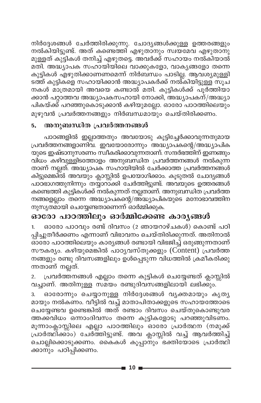നിർദ്ദേശങ്ങൾ ചേർത്തിരിക്കുന്നു. ചോദ്യങ്ങൾക്കുള്ള ഉത്തരങ്ങളും നൽകിയിട്ടുണ്ട്. അത് കണ്ടെത്തി എഴുതാനും സ്വയമേവ എഴുതാനു മുള്ളത് കുട്ടികൾ തനിച്ച് എഴുതട്ടെ. അവർക്ക് സഹായം നൽകിയാൽ മതി. അദ്ധ്യാപക സഹായിയിലെ വാക്കുകളോ, വാകൃങ്ങളോ തന്നെ കുട്ടികൾ എഴുതിക്കാണണമെന്ന് നിർബന്ധം പാടില്ല. ആവശ്യമുള്ളി ടത്ത് കുട്ടികളെ സഹായിക്കാൻ അദ്ധ്യാപകർക്ക് നൽ്കിയിട്ടുള്ള സൂച നകൾ മാത്രമായി അവയെ കണ്ടാൽ മതി. കുട്ടികൾക്ക് പൂർത്തിയാ ക്കാൻ പറ്റാത്തവ അദ്ധ്യാപകസഹായി നോക്കി, അദ്ധ്യാപകന്/അദ്ധ്യാ പികയ്ക്ക് പറഞ്ഞുകൊടുക്കാൻ കഴിയുമല്ലോ. ഓരോ പാഠത്തിലെയും മുഴുവൻ പ്രവർത്തനങ്ങളും നിർബന്ധമായും ചെയ്തിരിക്കണം.

#### അനുബന്ധിത പ്രവർത്തനങ്ങൾ 5.

പാഠങ്ങളിൽ ഇല്ലാത്തതും അവയോടു കൂട്ടിച്ചേർക്കാവുന്നതുമായ പ്രവർത്തനങ്ങളാണിവ. ഇവയോരോന്നും അദ്ധ്യാപകന്റെ/അദ്ധ്യാപിക യുടെ ഇഷ്ടാനുസരണം സ്ഥീകരിക്കാവുന്നതാണ്. സന്ദർഭത്തിന് ഇണങ്ങും വിധം കഴിവുള്ളിടത്തോളം അനുബന്ധിത പ്രവർത്തനങ്ങൾ നൽകുന്ന താണ് നല്ലത്. അദ്ധ്യാപക സഹായിയിൽ ചേർക്കാത്ത പ്രവർത്തനങ്ങൾ കിട്ടുമെങ്കിൽ അവയും ക്ലാസ്സിൽ ഉപയോഗിക്കാം. കൂടുതൽ ചോദ്യങ്ങൾ പാഠഭാഗത്തുനിന്നും തയ്യാറാക്കി ചേർത്തിട്ടുണ്ട്. അവയുടെ ഉത്തരങ്ങൾ കണ്ടെത്തി കുട്ടികൾക്ക് നൽകുന്നത് നല്ലതാണ്. അനുബന്ധിത പ്രവർത്ത നങ്ങളെല്ലാം തന്നെ അദ്ധ്യാപകന്റെ/അദ്ധ്യാപികയുടെ മനോഭാവത്തിന നുസൃതമായി ചെയ്യേണ്ടതാണെന്ന് ഓർമ്മിക്കുക.

### ഓരോ പാഠത്തിലും ഓർമ്മിക്കേണ്ട കാര്യങ്ങൾ

ഓരോ പാഠവും രണ്ട് ദിവസം (2 ഞായറാഴ്ചകൾ) കൊണ്ട് പഠി  $1.$ പ്പിച്ചുതീർക്കണം എന്നാണ് വിഭാവനം ചെയ്തിരിക്കുന്നത്. അതിനാൽ ഓരോ പാഠത്തിലെയും കാര്യങ്ങൾ രണ്ടായി വിഭജിച്ച് ഒരുങ്ങുന്നതാണ് സൗകര്യം. കഴിയുമെങ്കിൽ പാഠൃവസ്തുക്കളും (Content) പ്രവർത്ത നങ്ങളും രണ്ടു ദിവസങ്ങളിലും ഉൾപ്പെടുന്ന വിധത്തിൽ ക്രമീകരിക്കു ന്നതാണ് നല്ലത്.

പ്രവർത്തനങ്ങൾ എല്ലാം തന്നെ കുട്ടികൾ ചെയ്യേണ്ടത് ക്ലാസ്സിൽ  $2.$ വച്ചാണ്. അതിനുള്ള സമയം രണ്ടുദിവസങ്ങളിലായി ലഭിക്കും.

ഓരോന്നും ചെയ്യാനുള്ള നിർദ്ദേശങ്ങൾ വ്യക്തമായും കൃത്യ 3. മായും നൽകണം. വീട്ടിൽ വച്ച് മാതാപിതാക്കളുടെ സഹായത്തോടെ ചെയ്യേണ്ടവ ഉണ്ടെങ്കിൽ അത് രണ്ടാം ദിവസം ചെയ്തുകൊണ്ടുവര ത്തക്കവിധം ഒന്നാംദിവസം തന്നെ കുട്ടികളോടു പറഞ്ഞുവിടണം. മൂന്നാംക്ലാസ്സിലെ എല്ലാ പാഠത്തിലും ഓരോ പ്രാർത്ഥന (നമുക്ക് പ്രാർത്ഥ്ക്ക്ാം) ചേർത്തിട്ടുണ്ട്. അവ ക്ലാസ്സിൽ വച്ച് ആവർത്തിച്ച് ചൊല്ലിക്കൊടുക്കണം. കൈകൾ കൂപ്പാനും ഭക്തിയോടെ പ്രാർത്ഥി ക്കാനും പഠിപ്പിക്കണം.

- 10 -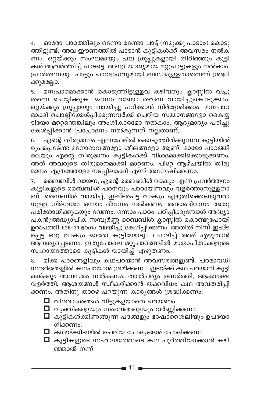ഓരോ പാഠത്തിലും ഒന്നോ രണ്ടോ പാട്ട് (നമുക്കു പാടാം) കൊടു 4. ത്തിട്ടുണ്ട്. അവ ഈണത്തിൽ പാടാൻ കുട്ടികൾക്ക് അവസരം നൽക ണം. ഒറ്റയ്ക്കും സംഘമായും പല ഗ്രൂപ്പുകളായി തിരിഞ്ഞും കുട്ടി കൾ ആവർത്തിച്ച് പാടട്ടെ. അനുയോജ്യമായ മറ്റുപാട്ടുകളും നൽകാം. പ്രാർത്ഥനയും പാട്ടും പാഠഭാഗവുമായി ബന്ധമുള്ളതാണെന്ന് ശ്രദ്ധി ക്കുമല്ലോ.

മനഃപാഠമാക്കാൻ കൊടുത്തിട്ടുള്ളവ കഴിവതും ക്ലാസ്സിൽ വച്ചു 5. തന്നെ ചെയ്യിക്കുക. ഒന്നോ രണ്ടോ തവണ വായിച്ചുകൊടുക്കാം. ഒറ്റയ്ക്കും ഗ്രൂപ്പായും വായിച്ചു പഠിക്കാൻ നിർദ്ദേശിക്കാം. മനഃപാഠ മാക്കി ചൊല്ലിക്കേൾപ്പിക്കുന്നവർക്ക് ചെറിയ സമ്മാനങ്ങളോ കൈയ്യ ടിയോ മറ്റെന്തെങ്കിലും അംഗീകാരമോ നൽകാം. ആദ്യമാദ്യം പഠിച്ചു കേൾപ്പിക്കാൻ പ്രചോദനം നൽകുന്നത് നല്ലതാണ്.

എന്റെ തീരുമാനം എന്നപേരിൽ കൊടുത്തിരിക്കുന്നവ കുട്ടിയിൽ 6. രൂപപ്പെടേണ്ട മനോഭാവങ്ങളോ ശീലങ്ങളോ ആണ്. ഓരോ പാഠത്തി ലെയും എന്റെ തീരുമാനം കുട്ടികൾക്ക് വിശദമാക്കിക്കൊടുക്കണം. അത് അവരുടെ തീരുമാനമാക്കി മാറ്റണം. പിറ്റേ ആഴ്ചയിൽ തീരു മാനം എത്രത്തോളം നടപ്പിലാക്കി എന്ന് അമ്പേഷിക്കണം.

ബൈബിൾ വായന, എന്റെ ബൈബിൾ വാക്യം എന്ന പ്രവർത്തനം 7. കുട്ടികളുടെ ബൈബിൾ പഠനവും പാരായണവും വളർത്താനുള്ളതാ ണ്. ബൈബിൾ വായിച്ച്, ഇഷ്ടപെട്ട വാക്യം എഴുതിക്കൊണ്ടുവരാ നുള്ള നിർദേശം ഒന്നാം ദിവസം നൽകണം. രണ്ടാംദിവസം അതു പരിശോധിക്കുകയും വേണം. ഒന്നാം പാഠം പഠിപ്പിക്കുമ്പോൾ അദ്ധ്യാ പകൻ/അദ്ധ്യാപിക സമ്പൂർണ്ണ ബൈബിൾ ക്ലാസ്സിൽ കൊണ്ടുപോയി ഉൽപത്തി 1:26–31 ഭാഗം വായിച്ചു കേൾപ്പിക്കണം. അതിൽ നിന്ന് ഇഷ്ട പ്പെട്ട ഒരു വാക്യം ഓരോ കുട്ടിയോടും ചോദിച്ച് അത് എഴുതാൻ ആവശ്യപ്പെടണം. ഇതുപോലെ മറ്റുപാഠങ്ങളിൽ മാതാപിതാക്കളുടെ സഹായത്തോടെ കുട്ടികൾ വായിച്ച് എഴുതണം.

മിക്ക പാഠങ്ങളിലും കഥപറയാൻ അവസരങ്ങളുണ്ട്. പരമാവധി 8. സന്ദർഭങ്ങളിൽ കഥപറയാൻ ശ്രമിക്കണം. ഇടയ്ക്ക് കഥ പറയാൻ കുട്ടി കൾക്കും അവസരം നൽകണം. താൽപര്യം ഉണർത്തി, ആകാംക്ഷ വളർത്തി, ആശയങ്ങൾ സ്ഥീകരിക്കാൻ തക്കവിധം കഥ അവതരിപ്പി ക്കണം. അതിനു താഴെ പറയുന്ന കാര്യങ്ങൾ ശ്രദ്ധിക്കണം.

- $\Box$  വിശദാംശങ്ങൾ വിട്ടുകളയാതെ പറയണം
- $\Box$  വ്യക്തികളെയും സംഭവങ്ങളെയും വർണ്ണിക്കണം.
- $\Box$  കുട്ടികൾക്കിണങ്ങുന്ന പദങ്ങളും ഭാഷാ്ശൈലിയും ഉപയോ ഗിക്കണം.
- $\Box$  കഥയ്ക്കിടയിൽ ചെറിയ ചോദ്യങ്ങൾ ചോദിക്കണം.
- $\Box$  കുട്ടികളുടെ സഹായത്തോടെ കഥ പൂർത്തിയാക്കാൻ കഴി ഞ്ഞാൽ നന്ന്.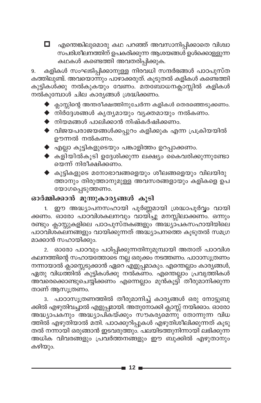എന്തെങ്കിലുമൊരു കഥ പറഞ്ഞ് അവസാനിപ്പിക്കാതെ വിശ്വാ О. കഥകൾ കണ്ടെത്തി അവതരിപ്പിക്കുക.

കളികൾ സംഘടിപ്പിക്കാനുള്ള നിരവധി സന്ദർഭങ്ങൾ പാഠപുസ്ത 9. കത്തിലുണ്ട്. അവയൊന്നും പാഴാക്കരുത്. കൂടുതൽ കളികൾ കണ്ടെത്തി കുട്ടികൾക്കു നൽകുകയും വേണം. മതബോധനക്ലാസ്സിൽ കളികൾ നൽകുമ്പോൾ ചില കാര്യങ്ങൾ ശ്രദ്ധിക്കണം.

- $\blacktriangleright$  ക്ലാസ്സിന്റെ അന്തരീക്ഷത്തിനുചേർന്ന കളികൾ തെരഞ്ഞെടുക്കണം.
- $\blacklozenge$  നിർദ്ദേശങ്ങൾ കൃത്യമായും വ്യക്തമായും നൽകണം.
- $\blacklozenge$  നിയമങ്ങൾ പാലിക്കാൻ നിഷ്കർഷിക്കണം.
- $\blacklozenge$  വിജയപരാജയങ്ങൾക്കപ്പുറം കളിക്കുക എന്ന പ്രക്രിയയിൽ ഊന്നൽ നൽകണം.
- $\blacklozenge$  എല്ലാ കുട്ടികളുടെയും പങ്കാളിത്തം ഉറപ്പാക്കണം.
- $\blacklozenge$  കളിയിൽകൂടി ഉദ്ദേശിക്കുന്ന ലക്ഷ്യം കൈവരിക്കുന്നുണ്ടോ യെന്ന് നിരീക്ഷിക്കണം.
- $\blacklozenge$  കുട്ടികളുടെ മനോഭാവങ്ങളെയും ശീലങ്ങളെയും വിലയിരു ത്താനും തിരുത്താനുമുള്ള അവസരങ്ങളായും കളികളെ ഉപ യോഗപ്പെടുത്തണം.

#### ഓർമ്മിക്കാൻ മൂന്നുകാര്യങ്ങൾ കൂടി

1. ഈ അദ്ധ്യാപനസഹായി പൂർണ്ണമായി ശ്രദ്ധാപൂർവ്വം വായി ക്കണം. ഓരോ പാഠവിശകലനവും വായിച്ചു മനസ്സിലാക്കണം. ഒന്നും രണ്ടും ക്ലാസ്സുകളിലെ പാഠപുസ്തകങ്ങളും അദ്ധ്യാപകസഹായിയിലെ പാഠവിശ്കലനങ്ങളും വായിക്കുന്നത് അദ്ധ്യാപനത്തെ കൂടുതൽ സമഗ്ര മാക്കാൻ സഹായിക്കും.

2. ഓരോ പാഠവും പഠിപ്പിക്കുന്നതിനുമുമ്പായി അതാത് പാഠവിശ കലനത്തിന്റെ സഹായത്തോടെ നല്ല ഒരുക്കം നടത്തണം. പാഠാസൂത്രണം നന്നായാൽ ക്ലാസ്സെടുക്കാൻ ഏറെ എളുപ്പമാകും. എന്തെല്ലാം കാര്യങ്ങൾ, ഏതു വിധത്തിൽ കുട്ടികൾക്കു നൽകണം. എന്തെല്ലാം പ്രവൃത്തികൾ അവരെക്കൊണ്ടുചെയ്യിക്കണം എന്നെല്ലാം മുൻകൂട്ടി് തീരുമാനിക്കുന്ന താണ് ആസൂത്രണം.

3. പാഠാസൂത്രണത്തിൽ തീരുമാനിച്ച് കാര്യങ്ങൾ ഒരു നോട്ടുബു ക്കിൽ എഴുതിവച്ചാൽ എളുപ്പമായി. അതുനോക്കി ക്ലാസ്സ് നയിക്കാം. ഓരോ അദ്ധ്യാപകനും അദ്ധ്യാപികയ്ക്കും സൗകര്യമെന്നു് തോന്നുന്ന വിധ ത്തിൽ എഴുതിയാൽ മതി. പാഠക്കുറിപ്പുകൾ എഴുതിശീലിക്കുന്നത് കൂടു തൽ നന്നായി ഒരുങ്ങാൻ ഇടവരുത്തും. പലയിടത്തുനിന്നായി ലഭിക്കുന്ന അധിക വിവരങ്ങളും പ്രവർത്തനങ്ങളും ഈ ബുക്കിൽ എഴുതാനും കഴിയും.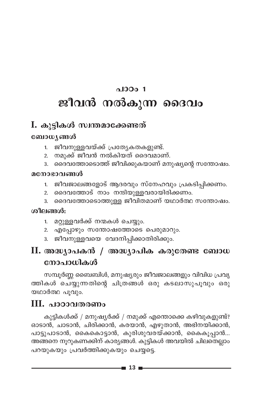# പാഠം $1$ ജീവൻ നൽകുന്ന ദൈവം

### I. കൂട്ടികൾ സ്വന്തമാക്കേണ്ടത്

#### ബോധ്യങ്ങൾ

- ജീവനുള്ളവയ്ക്ക് പ്രത്യേകതകളുണ്ട്.  $1<sup>1</sup>$
- നമുക്ക് ജീവൻ നൽകിയത് ദൈവമാണ്.  $2.$
- ദൈവത്തോടൊത്ത് ജീവിക്കുകയാണ് മനുഷ്യന്റെ സന്തോഷം.  $3.$

#### മനോഭാവങ്ങൾ

- ജീവജാലങ്ങളോട് ആദരവും സ്നേഹവും പ്രകടിപ്പിക്കണം.  $1.$
- ദൈവത്തോട് നാം നന്ദിയുള്ളവരായിരിക്കണം.  $2.$
- ദൈവത്തോടൊത്തുള്ള ജീവിതമാണ് യഥാർത്ഥ സന്തോഷം.  $3.$

#### ശീലങ്ങൾ:

- 1. മറ്റുള്ളവർക്ക് നന്മകൾ ചെയ്യും.
- 2. എപ്പോഴും സന്തോഷത്തോടെ പെരുമാറും.
- 3. ജീവനുള്ളവയെ വേദനിപ്പിക്കാതിരിക്കും.

## $\,$ II. അദ്ധ്യാപകൻ / അദ്ധ്യാപിക കരുതേണ്ട ബോധ നോപാധികൾ

സമ്പൂർണ്ണ ബൈബിൾ, മനുഷ്യരും ജീവജാലങ്ങളും വിവിധ പ്രവൃ ത്തികൾ ചെയ്യുന്നതിന്റെ ചിത്രങ്ങൾ ഒരു കടലാസുപൂവും ഒരു യഥാർത്ഥ പുവും.

### III. പാഠാവതരണം

കുട്ടികൾക്ക് / മനുഷ്യർക്ക് / നമുക്ക് എന്തൊക്കെ കഴിവുകളുണ്ട്? ഓടാൻ, ചാടാൻ, ചിരിക്കാൻ, കരയാൻ, എഴുതാൻ, അഭിനയിക്കാൻ, പാട്ടുപാടാൻ, കൈകൊട്ടാൻ, കുരിശുവരയ്ക്കാൻ, കൈകൂപ്പാൻ... അങ്ങനെ നൂറുകണക്കിന് കാര്യങ്ങൾ. കുട്ടികൾ അവയിൽ ചിലതെല്ലാം പറയുകയും പ്രവർത്തിക്കുകയും ചെയ്യട്ടെ.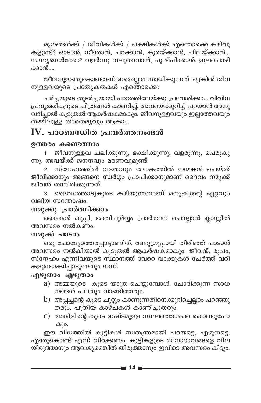മൃഗങ്ങൾക്ക് / ജീവികൾക്ക് / പക്ഷികൾക്ക് എന്തൊക്കെ കഴിവു കളുണ്ട്? ഓടാൻ, നീന്താൻ, പറക്കാൻ, കുരയ്ക്കാൻ, ചിലയ്ക്കാൻ... സസ്യങ്ങൾക്കോഃ വളർന്നു വലുതാവാൻ, പുഷ്പിക്കാൻ, ഇലപൊഴി ക്കാൻ....

ജീവനുള്ളതുകൊണ്ടാണ് ഇതെല്ലാം സാധിക്കുന്നത്. എങ്കിൽ ജീവ നുള്ളവയുടെ പ്രത്യേകതകൾ എന്തൊക്കെ?

ചർച്ചയുടെ തുടർച്ചയായി പാഠത്തിലേയ്ക്കു പ്രവേശിക്കാം. വിവിധ പ്രവൃത്തികളുടെ ചിത്രങ്ങൾ കാണിച്ച്, അവയെക്കുറിച്ച് പറയാൻ അനു വദിച്ചാൽ കൂടുതൽ ആകർഷകമാകും. ജീവനുള്ളവയും ഇല്ലാത്തവയും തമ്മിലുള്ള താരതമൃവും ആകാം.

## IV. പാഠബന്ധിത പ്രവർത്തനങ്ങൾ

#### ഉത്തരം കണ്ടെത്താം

ജീവനുള്ളവ ചലിക്കുന്നു, ഭക്ഷിക്കുന്നു, വളരുന്നു, പെരുകു  $1.$ ന്നു. അവയ്ക്ക് ജനനവും മരണവുമുണ്ട്.

2. സ്നേഹത്തിൽ വളരാനും ലോകത്തിൽ നന്മകൾ ചെയ്ത് ജീവിക്കാനും അങ്ങനെ സ്വർഗ്ഗം പ്രാപിക്കാനുമാണ് ദൈവം നമുക്ക് ജീവൻ തന്നിരിക്കുന്നത്.

3. ദൈവത്തോടുകൂടെ കഴിയുന്നതാണ് മനുഷ്യന്റെ ഏറ്റവും വലിയ സന്തോഷം.

### നമുക്കു പ്രാർത്ഥിക്കാം

കൈകൾ കൂപ്പി, ഭക്തിപൂർവ്വം പ്രാർത്ഥന ചൊല്ലാൻ ക്ലാസ്സിൽ അവസരം നൽകണം.

### നമുക്ക് പാടാം

ഒരു ചോദ്യോത്തരപ്പാട്ടാണിത്. രണ്ടുഗ്രൂപ്പായി തിരിഞ്ഞ് പാടാൻ അവസരം നൽകിയാൽ കൂടുതൽ ആകർഷ്ക്മാകും. ജീവൻ, രൂപം, സ്നേഹം എന്നിവയുടെ സ്ഥാനത്ത് വേറെ വാക്കുകൾ ചേർത്ത് വരി കളുണ്ടാക്കിപ്പാടുന്നതും നന്ന്.

### എഴുതാം എഴുതാം

- a) അമ്മയുടെ കൂടെ യാത്ര ചെയ്യുമ്പോൾ. ചോദിക്കുന്ന സാധ നങ്ങൾ പലതും വാങ്ങിത്തരും.
- $b)$  അപ്പച്ചന്റെ കൂടെ ചുറ്റും കാണുന്നതിനെക്കുറിച്ചെല്ലാം പറഞ്ഞു തരും. പുതിയ കാഴ്ചകൾ കാണിച്ചുതരും.
- $\mathbf c)$  അങ്കിളിന്റെ കൂടെ ഇഷ്ടമുള്ള സ്ഥലത്തൊക്കെ കൊണ്ടുപോ കും.

ഈ വിധത്തിൽ കുട്ടികൾ സ്വതന്ത്രമായി പറയട്ടെ, എഴുതട്ടെ. എന്തുകൊണ്ട് എന്ന് തിരക്കണം. കുട്ടികളുടെ മനോഭാവങ്ങളെ വില യിരുത്താനും ആവശ്യമെങ്കിൽ തിരുത്താനും ഇവിടെ അവസരം കിട്ടും.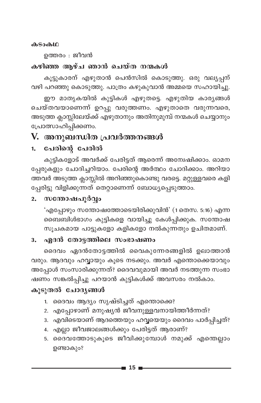#### കടാകഥ

ഉത്തരം : ജീവൻ

#### കഴിഞ്ഞ ആഴ്ച ഞാൻ ചെയ്ത നന്മകൾ

കൂട്ടുകാരന് എഴുതാൻ പെൻസിൽ കൊടുത്തു. ഒരു വല്യപ്പന് വഴി പറഞ്ഞു കൊടുത്തു. പാത്രം കഴുകുവാൻ അമ്മയെ സഹായിച്ചു.

ഈ മാതൃകയിൽ കുട്ടികൾ എഴുതട്ടെ. എഴുതിയ കാര്യങ്ങൾ ചെയ്തവയാണെന്ന് ഉറപ്പു വരുത്തണം. എഴുതാതെ വരുന്നവരെ, അടുത്ത ക്ലാസ്സിലേയ്ക്ക് എഴുതാനും അതിനുമുമ്പ് നന്മകൾ ചെയ്യാനും പ്രോത്സാഹിപ്പിക്കണം.

### V. അനുബന്ധിത പ്രവർത്തനങ്ങൾ

#### പേരിന്റെ പേരിൽ  $1.$

കുട്ടികളോട് അവർക്ക് പേരിട്ടത് ആരെന്ന് അന്വേഷിക്കാം. ഓമന പ്പേരുകളും ചോദിച്ചറിയാം. പേരിന്റെ അർത്ഥം ചോദിക്കാം. അറിയാ ത്തവർ അടുത്ത ക്ലാസ്സിൽ അറിഞ്ഞുകൊണ്ടു വരട്ടെ. മറ്റുള്ളവരെ കളി പ്പേരിട്ടു വിളിക്കുന്നത് തെറ്റാണെന്ന് ബോധ്യപ്പെടുത്താം.

#### സന്തോഷപൂർവ്വം  $2.$

'എപ്പോഴും സന്തോഷത്തോടെയിരിക്കുവിൻ' (1 തെസ. 5:16) എന്ന ബൈബിൾഭാഗം കുട്ടികളെ വായിച്ചു കേൾപ്പിക്കുക. സന്തോഷ സൂചകമായ പാട്ടുകളോ കളികളോ നൽകുന്നതും ഉചിതമാണ്.

#### ഏദൻ തോട്ടത്തിലെ സംഭാഷണം  $3.$

ദൈവം ഏദൻതോട്ടത്തിൽ വൈകുന്നേരങ്ങളിൽ ഉലാത്താൻ വരും. ആദവും ഹവ്വായും കൂടെ നടക്കും. അവർ എന്തൊക്കെയാവും അപ്പോൾ സംസാരിക്കുന്നത്? ദൈവവുമായി അവർ നടത്തുന്ന സംഭാ ഷണം സങ്കൽപ്പിച്ചു പറയാൻ കുട്ടികൾക്ക് അവസരം നൽകാം.

#### കൂടുതൽ ചോദ്യങ്ങൾ

- 1. ദൈവം ആദ്യം സൃഷ്ടിച്ചത് എന്തൊക്കെ?
- 2. എപ്പോഴാണ് മനുഷ്യൻ ജീവനുള്ളവനായിത്തീർന്നത്?
- 3. എവിടെയാണ് ആദത്തെയും ഹവ്വയെയും ദൈവം പാർപ്പിച്ചത്?
- 4. എല്ലാ ജീവജാലങ്ങൾക്കും പേരിട്ടത് ആരാണ്?
- 5. ദൈവത്തോടുകൂടെ ജീവിക്കുമ്പോൾ നമുക്ക് എന്തെല്ലാം ഉണ്ടാകും?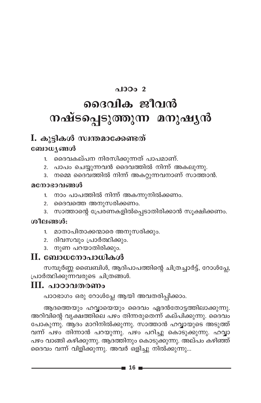### പാഠം 2

# ദൈവിക ജീവൻ നഷ്ടപ്പെടുത്തുന്ന മനുഷൃൻ

### I. കൂട്ടികൾ സ്വന്തമാക്കേണ്ടത്

#### ബോധ്യങ്ങൾ

- 1. ദൈവകല്പന നിരസിക്കുന്നത് പാപമാണ്.
- 2. പാപം ചെയ്യുന്നവൻ ദൈവത്തിൽ നിന്ന് അകലുന്നു.
- 3. നമ്മെ ദൈവത്തിൽ നിന്ന് അകറ്റുന്നവനാണ് സാത്താൻ.

#### മനോഭാവങ്ങൾ

- 1. നാം പാപത്തിൽ നിന്ന് അകന്നുനിൽക്കണം.
- 2. ദൈവത്തെ അനുസരിക്കണം.
- 3. സാത്താന്റെ പ്രേരണകളിൽപ്പെടാതിരിക്കാൻ സൂക്ഷിക്കണം.

#### ശീലങ്ങൾ:

- 1. മാതാപിതാക്കന്മാരെ അനുസരിക്കും.
- 2. ദിവസവും പ്രാർത്ഥിക്കും.
- 3. നുണ പറയാതിരിക്കും.

### $\mathbf H$ . ബോധനോപാധികൾ

സമ്പൂർണ്ണ ബൈബിൾ, ആദിപാപത്തിന്റെ ചിത്രച്ചാർട്ട്, റോൾപ്ലേ, പ്രാർത്ഥിക്കുന്നവരുടെ ചിത്രങ്ങൾ.

### III. പാഠാവതരണം

പാഠഭാഗം ഒരു റോൾപ്ലേ ആയി അവതരിപ്പിക്കാം.

ആദത്തെയും ഹവ്വായെയും ദൈവം ഏദൻതോട്ടത്തിലാക്കുന്നു. അറിവിന്റെ വൃക്ഷത്തിലെ പഴം തിന്നരുതെന്ന് കല്പിക്കുന്നു. ദൈവം പോകുന്നു. ആദം മാറിനിൽക്കുന്നു. സാത്താൻ ഹവ്വായുടെ അടുത്ത് വന്ന് പഴം തിന്നാൻ പറയുന്നു. പഴം പറിച്ചു കൊടുക്കുന്നു. ഹവ്വാ പഴം വാങ്ങി കഴിക്കുന്നു. ആദത്തിനും കൊടുക്കുന്നു. അല്പം കഴിഞ്ഞ് ദൈവം വന്ന് വിളിക്കുന്നു. അവർ ഒളിച്ചു നിൽക്കുന്നു...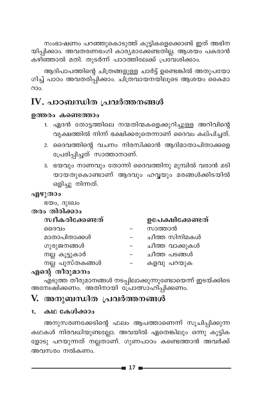സംഭാഷണം പറഞ്ഞുകൊടുത്ത് കുട്ടികളെക്കൊണ്ട് ഇത് അഭിന യിപ്പിക്കാം. അവതരണഭംഗി കാര്യമാക്കേണ്ടതില്ല. ആശയം പകരാൻ കഴിഞ്ഞാൽ മതി. തുടർന്ന് പാഠത്തിലേക്ക് പ്രവേശിക്കാം.

ആദിപാപത്തിന്റെ ചിത്രങ്ങളുള്ള ചാർട്ട് ഉണ്ടെങ്കിൽ അതുപയോ ഗിച്ച് പാഠം അവതരിപ്പിക്കാം. ചിത്രവായനയിലൂടെ ആശയം കൈമാ  $O$ 

## $\mathbf W$ . പാഠബന്ധിത പ്രവർത്തനങ്ങൾ

#### ഉത്തരം കണ്ടെത്താം

- 1. ഏദൻ തോട്ടത്തിലെ നന്മതിന്മകളെക്കുറിച്ചുള്ള അറിവിന്റെ വ്യക്ഷത്തിൽ നിന്ന് ഭക്ഷിക്കരുതെന്നാണ് ദൈവം കല്പിച്ചത്.
- 2. ദൈവത്തിന്റെ വചനം നിരസിക്കാൻ ആദിമാതാപിതാക്കളെ പ്രേരിപ്പിച്ചത് സാത്താനാണ്.
- 3. ഭയവും നാണവും തോന്നി ദൈവത്തിനു മുമ്പിൽ വരാൻ മടി യായതുകൊണ്ടാണ് ആദവും ഹവ്വയും മരങ്ങൾക്കിടയിൽ ഒളിച്ചു നിന്നത്.

#### എഴുതാം

ഭയം, ദുഃഖം

തരം തിരിക്കാം

| സ്ഥീകരിക്കേണ്ടത് | ഉപേക്ഷിക്കേണ്ടത് |
|------------------|------------------|
| ദൈവം             | സാത്താൻ          |
| മാതാപിതാക്കൾ     | ചീത്ത സിനിമകൾ    |
| ഗുരുജനങ്ങൾ       | ചീത്ത വാക്കുകൾ   |
| നല്ല കൂട്ടുകാർ   | ചീത്ത പടങ്ങൾ     |
| നല്ല പുസ്തകങ്ങൾ  | കളവു പറയുക       |
| $\sim$           |                  |

### എന്റെ തീരുമാനം

എടുത്ത തീരുമാനങ്ങൾ നടപ്പിലാക്കുന്നുണ്ടോയെന്ന് ഇടയ്ക്കിടെ അന്വേഷിക്കണം. അതിനായി പ്രോത്സാഹിപ്പിക്കണം.

### V. അനുബന്ധിത പ്രവർത്തനങ്ങൾ

### 1. കഥ കേൾക്കാം

അനുസരണക്കേടിന്റെ ഫലം ആപത്താണെന്ന് സൂചിപ്പിക്കുന്ന കഥകൾ നിരവധിയുണ്ടല്ലോ. അവയിൽ ഏതെങ്കിലും ഒന്നു കുട്ടിക ളോടു പറയുന്നത് നല്ലതാണ്. ഗുണപാഠം കണ്ടെത്താൻ അവർക്ക് അവസരം നൽകണം.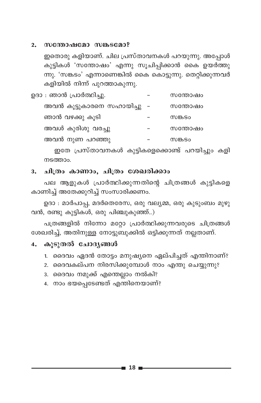#### സന്തോഷമോ സങ്കടമോ?  $2.$

ഇതൊരു കളിയാണ്. ചില പ്രസ്താവനകൾ പറയുന്നു. അപ്പോൾ കുട്ടികൾ 'സന്തോഷം' എന്നു സൂചിപ്പിക്കാൻ കൈ ഉയർത്തു ന്നു. 'സങ്കടം' എന്നാണെങ്കിൽ കൈ കൊട്ടുന്നു. തെറ്റിക്കുന്നവർ കളിയിൽ നിന്ന് പുറത്താകുന്നു.

| ഉദാ : ഞാൻ പ്രാർത്ഥിച്ചു.     | സന്തോഷം |
|------------------------------|---------|
| അവൻ കൂട്ടുകാരനെ സഹായിച്ചു  - | സന്തോഷം |
| ഞാൻ വഴക്കു കൂടി              | സങ്കടം  |
| അവൾ കുരിശു വരച്ചു            | സന്തോഷം |
| അവൻ നുണ പറഞ്ഞു               | സങ്കടം  |

ഇതേ പ്രസ്താവനകൾ കുട്ടികളെക്കൊണ്ട് പറയിച്ചും കളി നടത്താം.

#### 3. ചിത്രം കാണാം, ചിത്രം ശേഖരിക്കാം

പല ആളുകൾ പ്രാർത്ഥിക്കുന്നതിന്റെ ചിത്രങ്ങൾ കുട്ടികളെ കാണിച്ച് അതേക്കുറിച്ച് സംസാരിക്കണം.

ഉദാ : മാർപാപ്പ, മദർതെരേസ, ഒരു വല്യമ്മ, ഒരു കുടുംബം മുഴു വൻ, രണ്ടു കുട്ടികൾ, ഒരു പിഞ്ചുകുഞ്ഞ്..)

പത്രങ്ങളിൽ നിന്നോ മറ്റോ പ്രാർത്ഥിക്കുന്നവരുടെ ചിത്രങ്ങൾ ശേഖരിച്ച്, അതിനുള്ള നോട്ടുബുക്കിൽ ഒട്ടിക്കുന്നത് നല്ലതാണ്.

#### കൂടുതൽ ചോദ്യങ്ങൾ 4.

- 1. ദൈവം ഏദൻ തോട്ടം മനുഷ്യനെ ഏല്പിച്ചത് എന്തിനാണ്?
- 2. ദൈവകല്പന നിരസിക്കുമ്പോൾ നാം എന്തു ചെയ്യുന്നു?
- 3. ദൈവം നമുക്ക് എന്തെല്ലാം നൽകി?
- 4. നാം ഭയപ്പെടേണ്ടത് എന്തിനെയാണ്?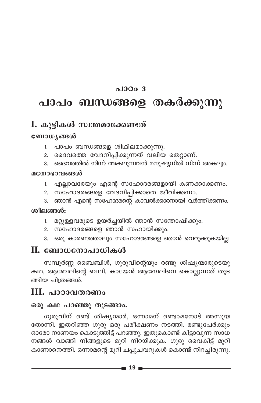### $0.10003$

## പാപം ബന്ധങ്ങളെ തകർക്കുന്നു

### I. കൂട്ടികൾ സ്വന്തമാക്കേണ്ടത്

#### ബോധ്യങ്ങൾ

- പാപം ബന്ധങ്ങളെ ശിഥിലമാക്കുന്നു.  $1<sup>1</sup>$
- ദൈവത്തെ വേദനിപ്പിക്കുന്നത് വലിയ തെറ്റാണ്.  $2.$
- ദൈവത്തിൽ നിന്ന് അകലുന്നവൻ മനുഷ്യനിൽ നിന്ന് അകലും.  $\overline{3}$ .

#### മനോഭാവങ്ങൾ

- എല്ലാവരേയും എന്റെ സഹോദരങ്ങളായി കണക്കാക്കണം.  $1<sup>1</sup>$
- സഹോദരങ്ങളെ വേദനിപ്പിക്കാതെ ജീവിക്കണം. 2.
- ഞാൻ എന്റെ സഹോദരന്റെ കാവൽക്കാരനായി വർത്തിക്കണം.  $3.$

#### ശീലങ്ങൾ:

- മറ്റുള്ളവരുടെ ഉയർച്ചയിൽ ഞാൻ സന്തോഷിക്കും.  $1.$
- സഹോദരങ്ങളെ ഞാൻ സഹായിക്കും.  $2.$
- ഒരു കാരണത്താലും സഹോദരങ്ങളെ ഞാൻ വെറുക്കുകയില്ല. 3.

### $\Pi$ . ബോധനോപാധികൾ

സമ്പൂർണ്ണ ബൈബിൾ, ഗുരുവിന്റെയും രണ്ടു ശിഷ്യന്മാരുടെയു കഥ, ആബേലിന്റെ ബലി, കായേൻ ആബേലിനെ കൊല്ലുന്നത് തുട ങ്ങിയ ചിത്രങ്ങൾ.

### $III.$  പാഠാവതരണം

#### ഒരു കഥ പറഞ്ഞു തുടങ്ങാം.

ഗുരുവിന് രണ്ട് ശിഷ്യന്മാർ, ഒന്നാമന് രണ്ടാമനോട് അസുയ തോന്നി. ഇതറിഞ്ഞ ഗുരു ഒരു പരീക്ഷണം നടത്തി. രണ്ടുപേർക്കും ഓരോ നാണയം കൊടുത്തിട്ട് പറഞ്ഞു. ഇതുകൊണ്ട് കിട്ടാവുന്ന സാധ നങ്ങൾ വാങ്ങി നിങ്ങളുടെ മുറി നിറയ്ക്കുക. ഗുരു വൈകിട്ട് മുറി കാണാനെത്തി. ഒന്നാമന്റെ മുറി ചപ്പുചവറുകൾ കൊണ്ട് നിറച്ചിരുന്നു.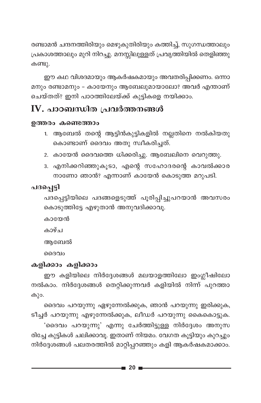രണ്ടാമൻ ചന്ദനത്തിരിയും മെഴുകുതിരിയും കത്തിച്ച്, സുഗന്ധത്താലും പ്രകാശത്താലും മുറി നിറച്ചു. മനസ്സിലുള്ളത് പ്രവൃത്തിയിൽ തെളിഞ്ഞു കണ്ടു.

ഈ കഥ വിശദമായും ആകർഷകമായും അവതരിപ്പിക്കണം. ഒന്നാ മനും രണ്ടാമനും - കായേനും ആബേലുമായാലോ? അവർ എന്താണ് ചെയ്തത്? ഇനി പാഠത്തിലേയ്ക്ക് കുട്ടികളെ നയിക്കാം.

## $\mathbf W$ . പാഠബന്ധിത പ്രവർത്തനങ്ങൾ

#### ഉത്തരം കണ്ടെത്താം

- 1. ആബേൽ തന്റെ ആട്ടിൻകുട്ടികളിൽ നല്ലതിനെ നൽകിയതു കൊണ്ടാണ് ദൈവം അതു സ്ഥീകരിച്ചത്.
- 2. കായേൻ ദൈവത്തെ ധിക്കരിച്ചു. ആബേലിനെ വെറുത്തു.
- 3. എനിക്കറിഞ്ഞുകൂടാ, എന്റെ സഹോദരന്റെ കാവൽക്കാര നാണോ ഞാൻ? എന്നാണ് കായേൻ കൊടുത്ത മറുപടി.

### പദപ്പെട്ടി

പദപ്പെട്ടിയിലെ പദങ്ങളെടുത്ത് പൂരിപ്പിച്ചുപറയാൻ അവസരം കൊടുത്തിട്ടേ എഴുതാൻ അനുവദിക്കാവൂ.

കായേൻ

കാഴ്ച

അബേൽ

ദൈവം

### കളിക്കാം കളിക്കാം

ഈ കളിയിലെ നിർദ്ദേശങ്ങൾ മലയാളത്തിലോ ഇംഗ്ലീഷിലോ നൽകാം. നിർദ്ദേശങ്ങൾ തെറ്റിക്കുന്നവർ കളിയിൽ നിന്ന് പുറത്താ കും.

ദൈവം പറയുന്നു ഏഴുന്നേൽക്കുക, ഞാൻ പറയുന്നു ഇരിക്കുക, ടീച്ചർ പറയുന്നു എഴുന്നേൽക്കുക, ലീഡർ പറയുന്നു കൈകൊട്ടുക. 'ദൈവം പറയുന്നു' എന്നു ചേർത്തിട്ടുള്ള നിർദ്ദേശം അനുസ രിച്ചേ കുട്ടികൾ ചലിക്കാവൂ. ഇതാണ് നിയമം. വേഗത കൂട്ടിയും കുറച്ചും നിർദ്ദേശങ്ങൾ പലതരത്തിൽ മാറ്റിപ്പറഞ്ഞും കളി ആകർഷകമാക്കാം.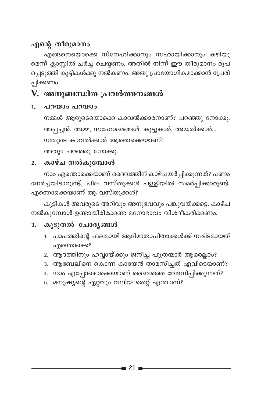### എന്റെ തീരുമാനം

എങ്ങനെയൊക്കെ സ്നേഹിക്കാനും സഹായിക്കാനും കഴിയു മെന്ന് ക്ലാസ്സിൽ ചർച്ച ചെയ്യണം. അതിൽ നിന്ന് ഈ തീരുമാനം രൂപ പ്പെടുത്തി കുട്ടികൾക്കു നൽകണം. അതു പ്രായോഗികമാക്കാൻ പ്രേരി പ്പിക്കണം.

### V. അനുബന്ധിത പ്രവർത്തനങ്ങൾ

#### പറയാം പറയാം  $1.$

നമ്മൾ ആരുടെയൊക്കെ കാവൽക്കാരനാണ്? പറഞ്ഞു നോക്കൂ. അപ്പച്ചൻ, അമ്മ, സഹോദരങ്ങൾ, കൂട്ടുകാർ, അയൽക്കാർ... നമ്മുടെ കാവൽക്കാർ ആരൊക്കെയാണ്?

അതും പറഞ്ഞു നോക്കൂ.

### 2. കാഴ്ച നൽകുമ്പോൾ

നാം എന്തൊക്കെയാണ് ദൈവത്തിന് കാഴ്ചയർപ്പിക്കുന്നത്? പണം നേർച്ചയിടാറുണ്ട്, ചില വസ്തുക്കൾ പള്ളിയിൽ സമർപ്പിക്കാറുണ്ട്. എന്തൊക്കെയാണ് ആ വസ്തുക്കൾ?

കുട്ടികൾ അവരുടെ അറിവും അനുഭവവും പങ്കുവയ്ക്കട്ടെ. കാഴ്ച നൽകുമ്പോൾ ഉണ്ടായിരിക്കേണ്ട മനോഭാവം വിശദീകരിക്കണം.

#### 3. കൂടുതൽ ചോദ്യങ്ങൾ

- 1. പാപത്തിന്റെ ഫലമായി ആദിമാതാപിതാക്കൾക്ക് നഷ്ടമായത് എന്തൊക്കെ?
- 2. ആദത്തിനും ഹവ്വായ്ക്കും ജനിച്ച പുത്രന്മാർ ആരെല്ലാം?
- 3. ആബേലിനെ കൊന്ന കായേൻ താമസിച്ചത് എവിടെയാണ്?
- 4. നാം എപ്പോഴൊക്കെയാണ് ദൈവത്തെ വേദനിപ്പിക്കുന്നത്?
- 5. മനുഷ്യന്റെ ഏറ്റവും വലിയ തെറ്റ് എന്താണ്?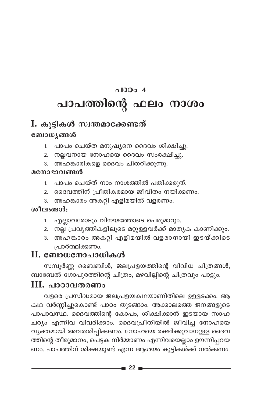# $0.10004$ പാപത്തിന്റെ ഫലം നാശം

## I. കുട്ടികൾ സ്വന്തമാക്കേണ്ടത് ബോധ്യങ്ങൾ

- പാപം ചെയ്ത മനുഷ്യനെ ദൈവം ശിക്ഷിച്ചു.  $1.$
- 2. നല്ലവനായ നോഹയെ ദൈവം സംരക്ഷിച്ചു.
- 3. അഹങ്കാരികളെ ദൈവം ചിതറിക്കുന്നു.

#### മനോഭാവങ്ങൾ

- 1. പാപം ചെയ്ത് നാം നാശത്തിൽ പതിക്കരുത്.
- 2. ദൈവത്തിന് പ്രീതികരമായ ജീവിതം നയിക്കണം.
- 3. അഹങ്കാരം അകറ്റി എളിമയിൽ വളരണം.

### ശീലങ്ങൾ:

- 1. എല്ലാവരോടും വിനയത്തോടെ പെരുമാറും.
- 2. നല്ല പ്രവൃത്തികളിലൂടെ മറ്റുള്ളവർക്ക് മാതൃക കാണിക്കും.
- 3. അഹങ്കാരം അകറ്റി എളിമയിൽ വളരാനായി ഇടയ്ക്കിടെ പ്രാർത്ഥിക്കണം.

## II. ബോധനോപാധികൾ

സമ്പൂർണ്ണ ബൈബിൾ, ജലപ്രളയത്തിന്റെ വിവിധ ചിത്രങ്ങൾ, ബാബേൽ ഗോപുരത്തിന്റെ ചിത്രം, മഴവില്ലിന്റെ ചിത്രവും പാട്ടും.

### III. പാഠാവതരണം

വളരെ പ്രസിദ്ധമായ ജലപ്രളയകഥയാണിതിലെ ഉള്ളടക്കം. ആ കഥ വർണ്ണിച്ചുകൊണ്ട് പാഠം തുടങ്ങാം. അക്കാലത്തെ ജനങ്ങളുടെ പാപാവസ്ഥ. ദൈവത്തിന്റെ കോപം, ശിക്ഷിക്കാൻ ഇടയായ സാഹ ചര്യം എന്നിവ വിവരിക്കാം. ദൈവപ്രീതിയിൽ ജീവിച്ച നോഹയെ വ്യക്തമായി അവതരിപ്പിക്കണം. നോഹയെ രക്ഷിക്കുവാനുള്ള ദൈവ ത്തിന്റെ തീരുമാനം, പെട്ടക നിർമ്മാണം എന്നിവയെല്ലാം ഊന്നിപ്പറയ ണം. പാപത്തിന് ശിക്ഷയുണ്ട് എന്ന ആശയം കുട്ടികൾക്ക് നൽകണം.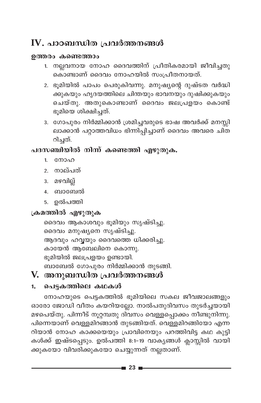## IV. പാഠബന്ധിത പ്രവർത്തനങ്ങൾ

#### ഉത്തരം കണ്ടെത്താം

- 1. നല്ലവനായ നോഹ ദൈവത്തിന് പ്രീതികരമായി ജീവിച്ചതു കൊണ്ടാണ് ദൈവം നോഹയിൽ സംപ്രീതനായത്.
- 2. ഭൂമിയിൽ പാപം പെരുകിവന്നു. മനുഷ്യന്റെ ദുഷ്ടത വർദ്ധി .<br>ക്കുകയും ഹൃദയത്തിലെ ചിന്തയും ഭാവനയും ദുഷിക്കുകയും ചെയ്തു. അതുകൊണ്ടാണ് ദൈവം ജലപ്രളയം കൊണ്ട് ഭൂമിയെ ശിക്ഷിചത്.
- 3. ഗോപുരം നിർമ്മിക്കാൻ ശ്രമിച്ചവരുടെ ഭാഷ അവർക്ക് മനസ്സി ലാക്കാൻ പറ്റാത്തവിധം ഭിന്നിപ്പിച്ചാണ് ദൈവം അവരെ ചിത റിച്ചത്.

### പദസഞ്ചിയിൽ നിന്ന് കണ്ടെത്തി എഴുതുക.

- $1<sup>1</sup>$ നോഹ
- 2. നാല്പത്
- 3. മഴവില്ല്
- 4. ബാബേൽ
- 5. ഉൽപത്തി

### ക്രമത്തിൽ എഴുതുക

ദൈവം ആകാശവും ഭൂമിയും സൃഷ്ടിച്ചു. ദൈവം മനുഷ്യനെ സൃഷ്ടിച്ചു. ആദവും ഹവ്വയും ദൈവത്തെ ധിക്കരിച്ചു. കായേൻ ആബേലിനെ കൊന്നു. ഭുമിയിൽ ജലപ്രളയം ഉണ്ടായി. ബാബേൽ ഗോപുരം നിർമ്മിക്കാൻ തുടങ്ങി.

## V. അനുബന്ധിത പ്രവർത്തനങ്ങൾ

#### പെട്ടകത്തിലെ കഥകൾ  $1.$

നോഹയുടെ പെട്ടകത്തിൽ ഭൂമിയിലെ സകല ജീവജാലങ്ങളും ഓരോ ജോഡി വീതം കയറിയല്ലോ. നാൽപതുദിവസം തുടർച്ചയായി മഴപെയ്തു. പിന്നീട് നൂറ്റമ്പതു ദിവസം വെള്ളപ്പൊക്കം നീണ്ടുനിന്നു. പിന്നെയാണ് വെള്ളമിറങ്ങാൻ തുടങ്ങിയത്. വെള്ളമിറങ്ങിയോ എന്ന റിയാൻ നോഹ കാക്കയെയും പ്രാവിനെയും പറത്തിവിട്ട കഥ കുട്ടി കൾക്ക് ഇഷ്ടപ്പെടും. ഉൽപത്തി 8:1-19 വാകൃങ്ങൾ ക്ലാസ്സിൽ വായി ക്കുകയോ വിവരിക്കുകയോ ചെയ്യുന്നത് നല്ലതാണ്.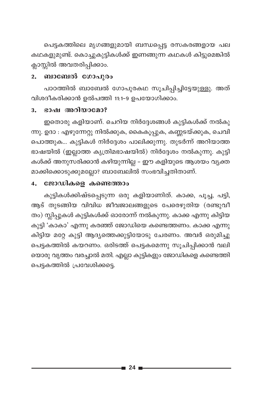പെട്ടകത്തിലെ മൃഗങ്ങളുമായി ബന്ധപ്പെട്ട രസകരങ്ങളായ പല കഥകളുമുണ്ട്. കൊച്ചുകുട്ടികൾക്ക് ഇണങ്ങുന്ന കഥകൾ കിട്ടുമെങ്കിൽ ക്ലാസ്സിൽ അവതരിപ്പിക്കാം.

#### ബാബേൽ ഗോപുരം  $2.$

പാഠത്തിൽ ബാബേൽ ഗോപുരകഥ സൂചിപ്പിച്ചിട്ടേയുള്ളു. അത് വിശദീകരിക്കാൻ ഉൽപത്തി 11:1-9 ഉപയോഗിക്കാം.

#### ഭാഷ അറിയാമോ? 3.

ഇതൊരു കളിയാണ്. ചെറിയ നിർദ്ദേശങ്ങൾ കുട്ടികൾക്ക് നൽകു ന്നു. ഉദാ : എഴുന്നേറ്റു നിൽക്കുക, കൈകൂപ്പുക, കണ്ണടയ്ക്കുക, ചെവി പൊത്തുക... കുട്ടികൾ നിർദ്ദേശം പാലിക്കുന്നു. തുടർന്ന് അറിയാത്ത ഭാഷയിൽ (ഇല്ലാത്ത കൃത്രിമഭാഷയിൽ) നിർദ്ദേശം നൽകുന്നു. കുട്ടി കൾക്ക് അനുസരിക്കാൻ കഴിയുന്നില്ല – ഈ കളിയുടെ ആശയം വ്യക്ത മാക്കിക്കൊടുക്കുമല്ലോ? ബാബേലിൽ സംഭവിച്ചതിതാണ്.

#### ജോഡികളെ കണ്ടെത്താം  $\overline{4}$ .

കുട്ടികൾക്കിഷ്ടപ്പെടുന്ന ഒരു കളിയാണിത്. കാക്ക, പൂച്ച, പട്ടി, ആട് തുടങ്ങിയ വിവിധ ജീവജാലങ്ങളുടെ പേരെഴുതിയ (രണ്ടുവീ തം) സ്ലിപ്പുകൾ കുട്ടികൾക്ക് ഓരോന്ന് നൽകുന്നു. കാക്ക എന്നു കിട്ടിയ കുട്ടി 'കാകാ' എന്നു കരഞ്ഞ് ജോഡിയെ കണ്ടെത്തണം. കാക്ക എന്നു കിട്ടിയ മറ്റേ കുട്ടി ആദ്യത്തെക്കുട്ടിയോടു ചേരണം. അവർ ഒരുമിച്ചു പെട്ടകത്തിൽ കയറണം. ഒരിടത്ത് പെട്ടകമെന്നു സൂചിപ്പിക്കാൻ വലി യൊരു വൃത്തം വരച്ചാൽ മതി. എല്ലാ കുട്ടികളും ജോഡികളെ കണ്ടെത്തി പെട്ടകത്തിൽ പ്രവേശിക്കട്ടെ.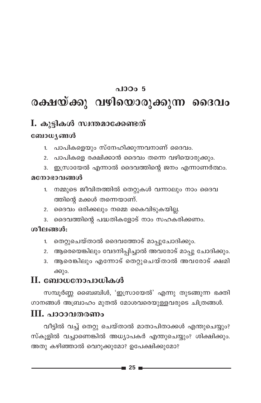### $0.1000.5$

# രക്ഷയ്ക്കു വഴിയൊരുക്കുന്ന ദൈവം

## I. കുട്ടികൾ സ്വന്തമാക്കേണ്ടത്

### ബോധ്യങ്ങൾ

- 1. പാപികളെയും സ്നേഹിക്കുന്നവനാണ് ദൈവം.
- 2. പാപികളെ രക്ഷിക്കാൻ ദൈവം തന്നെ വഴിയൊരുക്കും.
- 3. ഇസ്രായേൽ എന്നാൽ ദൈവത്തിന്റെ ജനം എന്നാണർത്ഥം.

#### മനോഭാവങ്ങൾ

- നമ്മുടെ ജീവിതത്തിൽ തെറ്റുകൾ വന്നാലും നാം ദൈവ  $1<sup>1</sup>$ ത്തിന്റെ മക്കൾ തന്നെയാണ്.
- 2. ദൈവം ഒരിക്കലും നമ്മെ കൈവിടുകയില്ല.
- 3. ദൈവത്തിന്റെ പദ്ധതികളോട് നാം സഹകരിക്കണം.

### ശീലങ്ങൾ:

- 1. തെറ്റുചെയ്താൽ ദൈവത്തോട് മാപ്പുചോദിക്കും.
- 2. ആരെയെങ്കിലും വേദനിപ്പിച്ചാൽ അവരോട് മാപ്പു ചോദിക്കും.
- 3. ആരെങ്കിലും എന്നോട് തെറ്റുചെയ്താൽ അവരോട് ക്ഷമി ക്കും.

### $\mathbf H$ . ബോധനോപാധികൾ

സമ്പൂർണ്ണ ബൈബിൾ, 'ഇസ്രായേൽ' എന്നു തുടങ്ങുന്ന ഭക്തി ഗാനങ്ങൾ അബ്രാഹം മുതൽ മോശവരെയുള്ളവരുടെ ചിത്രങ്ങൾ.

### III. പാഠാവതരണം

വീട്ടിൽ വച്ച് തെറ്റു ചെയ്താൽ മാതാപിതാക്കൾ എന്തുചെയ്യും? സ്കൂളിൽ വച്ചാണെങ്കിൽ അധ്യാപകർ എന്തുചെയ്യും? ശിക്ഷിക്കും. അതു കഴിഞ്ഞാൽ വെറുക്കുമോ? ഉപേക്ഷിക്കുമോ?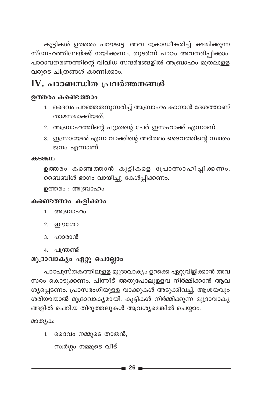കുട്ടികൾ ഉത്തരം പറയട്ടെ. അവ ക്രോഡീകരിച്ച് ക്ഷമിക്കുന്ന സ്നേഹത്തിലേയ്ക്ക് നയിക്കണം. തുടർന്ന് പാഠം അവതരിപ്പിക്കാം. പാഠാവതരണത്തിന്റെ വിവിധ സന്ദർഭങ്ങളിൽ അബ്രാഹം മുതലുള്ള വരുടെ ചിത്രങ്ങൾ കാണിക്കാം.

## IV. പാഠബന്ധിത പ്രവർത്തനങ്ങൾ

#### ഉത്തരം കണ്ടെത്താം

- 1. ദൈവം പറഞ്ഞതനുസരിച്ച് അബ്രാഹം കാനാൻ ദേശത്താണ് താമസമാക്കിയത്.
- 2. അബ്രാഹത്തിന്റെ പുത്രന്റെ പേര് ഇസഹാക്ക് എന്നാണ്.
- 3. ഇസ്രായേൽ എന്ന വാക്കിന്റെ അർത്ഥം ദൈവത്തിന്റെ സ്വന്തം ജനം എന്നാണ്.

#### കടങ്കഥ

ഉത്തരം കണ്ടെത്താൻ കുട്ടികളെ പ്രോത്സാഹിപ്പിക്കണം. ബൈബിൾ ഭാഗം വായിച്ചു കേൾപ്പിക്കണം.

ഉത്തരം : അബ്രാഹം

#### കണ്ടെത്താം കളിക്കാം

- 1. അബ്രാഹം
- 2. ഈശോ
- 3. ഹാരാൻ
- 4. പന്ത്രണ്ട്

#### മുദ്രാവാക്യം ഏറ്റു ചൊല്ലാം

പാഠപുസ്തകത്തിലുള്ള മുദ്രാവാക്യം ഉറക്കെ ഏറ്റുവിളിക്കാൻ അവ സരം കൊടുക്കണം. പിന്നീട് അതുപോലുള്ളവ നിർമ്മിക്കാൻ ആവ ശ്യപ്പെടണം. പ്രാസഭംഗിയുള്ള വാക്കുകൾ അടുക്കിവച്ച്, ആശയവും ശരിയായാൽ മുദ്രാവാക്യമായി. കുട്ടികൾ നിർമ്മിക്കുന്ന മുദ്രാവാക്യ ങ്ങളിൽ ചെറിയ തിരുത്തലുകൾ ആവശ്യമെങ്കിൽ ചെയ്യാം.

മാതൃക:

1. ദൈവം നമ്മുടെ താതൻ,

സ്വർഗ്ഗം നമ്മുടെ വീട്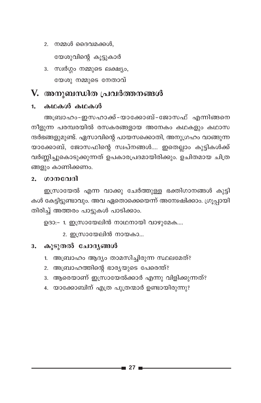- 2. നമ്മൾ ദൈവമക്കൾ, യേശുവിന്റെ കൂട്ടുകാർ
- 3. സ്വർഗ്ഗം നമ്മുടെ ലക്ഷ്യം, യേശു നമ്മുടെ നേതാവ്

### V. അനുബന്ധിത പ്രവർത്തനങ്ങൾ

#### 1. കഥകൾ കഥകൾ

അബ്രാഹം-ഇസഹാക്ക്-യാക്കോബ്-ജോസഫ് എന്നിങ്ങനെ നീളുന്ന പരമ്പരയിൽ രസകരങ്ങളായ അനേകം കഥകളും കഥാസ ന്ദർഭങ്ങളുമുണ്ട്. ഏസാവിന്റെ പായസക്കൊതി, അനുഗ്രഹം വാങ്ങുന്ന യാക്കോബ്, ജോസഫിന്റെ സ്വപ്നങ്ങൾ.... ഇതെല്ലാം കുട്ടികൾക്ക് വർണ്ണിച്ചുകൊടുക്കുന്നത് ഉപകാരപ്രദമായിരിക്കും. ഉചിതമായ ചിത്ര ങ്ങളും കാണിക്കണം.

#### ഗാനവേദി  $2<sub>1</sub>$

ഇസ്രായേൽ എന്ന വാക്കു ചേർത്തുള്ള ഭക്തിഗാനങ്ങൾ കുട്ടി കൾ കേട്ടിട്ടുണ്ടാവും. അവ ഏതൊക്കെയെന്ന് അന്വേഷിക്കാം. ഗ്രൂപ്പായി തിരിച്ച് അത്തരം പാട്ടുകൾ പാടിക്കാം.

ഉദാ:– 1. ഇസ്രായേലിൻ നാഥനായി വാഴുമേക....

2. ഇസ്രായേലിൻ നായകാ...

#### 3. കൂടുതൽ ചോദ്യങ്ങൾ

- 1. അബ്രാഹം ആദ്യം താമസിച്ചിരുന്ന സ്ഥലമേത്?
- 2. അബ്രാഹത്തിന്റെ ഭാര്യയുടെ പേരെന്ത്?
- 3. ആരെയാണ് ഇസ്രായേൽക്കാർ എന്നു വിളിക്കുന്നത്?
- 4. യാക്കോബിന് എത്ര പുത്രന്മാർ ഉണ്ടായിരുന്നു?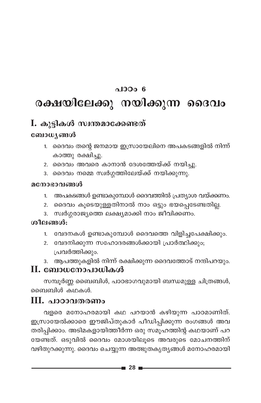### $\triangle$ 100 $\angle$ 6

# രക്ഷയിലേക്കു നയിക്കുന്ന ദൈവം

## I. കുട്ടികൾ സ്വന്തമാക്കേണ്ടത്

### ബോധ്യങ്ങൾ

- 1. ദൈവം തന്റെ ജനമായ ഇസ്രായേലിനെ അപകടങ്ങളിൽ നിന്ന് കാത്തു രക്ഷിച്ചു.
- 2. ദൈവം അവരെ കാനാൻ ദേശത്തേയ്ക്ക് നയിച്ചു.
- 3. ദൈവം നമ്മെ സ്വർഗ്ഗത്തിലേയ്ക്ക് നയിക്കുന്നു.

#### മനോഭാവങ്ങൾ

- അപകടങ്ങൾ ഉണ്ടാകുമ്പോൾ ദൈവത്തിൽ പ്രത്യാശ വയ്ക്കണം.  $1.$
- 2. ദൈവം കൂടെയുള്ളതിനാൽ നാം ഒട്ടും ഭയപ്പെടേണ്ടതില്ല.
- 3. സ്വർഗ്ഗരാജ്യത്തെ ലക്ഷ്യമാക്കി നാം ജീവിക്കണം.

### ശീലങ്ങൾ:

- 1. വേദനകൾ ഉണ്ടാകുമ്പോൾ ദൈവത്തെ വിളിച്ചപേക്ഷിക്കും.
- 2. വേദനിക്കുന്ന സഹോദരങ്ങൾക്കായി പ്രാർത്ഥിക്കും; പ്രവർത്തിക്കും.
- 3. ആപത്തുകളിൽ നിന്ന് രക്ഷിക്കുന്ന ദൈവത്തോട് നന്ദിപറയും.

### II. ബോധനോപാധികൾ

സമ്പൂർണ്ണ ബൈബിൾ, പാഠഭാഗവുമായി ബന്ധമുള്ള ചിത്രങ്ങൾ, ബൈബിൾ കഥകൾ.

### III. പാഠാവതരണം

വളരെ മനോഹരമായി കഥ പറയാൻ കഴിയുന്ന പാഠമാണിത്. ഇസ്രായേൽക്കാരെ ഈജിപ്തുകാർ പീഡിപ്പിക്കുന്ന രംഗങ്ങൾ അവ തരിപ്പിക്കാം. അടിമകളായിത്തീർന്ന ഒരു സമൂഹത്തിന്റ കഥയാണ് പറ യേണ്ടത്. ഒടുവിൽ ദൈവം മോശയിലൂടെ അവരുടെ മോചനത്തിന് വഴിതുറക്കുന്നു. ദൈവം ചെയ്യുന്ന അത്ഭുതകൃതൃങ്ങൾ മനോഹരമായി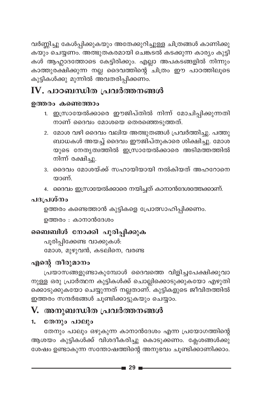വർണ്ണിച്ചു കേൾപ്പിക്കുകയും അതേക്കുറിച്ചുള്ള ചിത്രങ്ങൾ കാണിക്കു കൾ ആഹ്ലാദത്തോടെ കേട്ടിരിക്കും. എല്ലാ അപകടങ്ങളിൽ നിന്നും കാത്തുരക്ഷിക്കുന്ന നല്ല ദൈവത്തിന്റെ ചിത്രം ഈ പാഠത്തിലൂടെ കുട്ടികൾക്കു മുന്നിൽ അവതരിപ്പിക്കണം.

## IV. പാഠബന്ധിത പ്രവർത്തനങ്ങൾ

#### ഉത്തരം കണ്ടെത്താം

- 1. ഇസ്രായേൽക്കാരെ ഈജിപ്തിൽ നിന്ന് മോചിപ്പിക്കുന്നതി നാണ് ദൈവം മോശയെ തെരഞ്ഞെടുത്തത്.
- 2. മോശ വഴി ദൈവം വലിയ അത്ഭുതങ്ങൾ പ്രവർത്തിച്ചു. പത്തു ബാധകൾ അയച്ച് ദൈവം ഈജിപ്തുകാരെ ശിക്ഷിച്ചു. മോശ യുടെ നേതൃത്വത്തിൽ ഇസ്രായേൽക്കാരെ അടിമത്തത്തിൽ നിന്ന് രക്ഷിച്ചു.
- 3. ദൈവം മോശയ്ക്ക് സഹായിയായി നൽകിയത് അഹറോനെ യാണ്.
- 4. ദൈവം ഇസ്രായേൽക്കാരെ നയിച്ചത് കാനാൻദേശത്തേക്കാണ്.

### പദപ്രശ്നം

```
ഉത്തരം കണ്ടെത്താൻ കുട്ടികളെ പ്രോത്സാഹിപ്പിക്കണം.
```
ഉത്തരം : കാനാൻദേശം

### ബൈബിൾ നോക്കി പൂരിപ്പിക്കുക

പൂരിപ്പിക്കേണ്ട വാക്കുകൾ: മോശ, മുഴുവൻ, കടലിനെ, വരണ്ട

### എന്റെ തീരുമാനം

പ്രയാസങ്ങളുണ്ടാകുമ്പോൾ ദൈവത്തെ വിളിച്ചപേക്ഷിക്കുവാ നുള്ള ഒരു പ്രാർത്ഥന കുട്ടികൾക്ക് ചൊല്ലിക്കൊടുക്കുകയോ എഴുതി ക്കൊടുക്കുകയോ ചെയ്യുന്നത് നല്ലതാണ്. കുട്ടികളുടെ ജീവിതത്തിൽ ഇത്തരം സന്ദർഭങ്ങൾ ചൂണ്ടിക്കാട്ടുകയും ചെയ്യാം.

## V. അനുബന്ധിത പ്രവർത്തനങ്ങൾ

#### തേനും പാലും 1.

തേനും പാലും ഒഴുകുന്ന കാനാൻദേശം എന്ന പ്രയോഗത്തിന്റെ ആശയം കുട്ടികൾക്ക് വിശദീകരിച്ചു കൊടുക്കണം. ക്ലേശങ്ങൾക്കു ശേഷം ഉണ്ടാകുന്ന സന്തോഷത്തിന്റെ അനുഭവം ചൂണ്ടിക്കാണിക്കാം.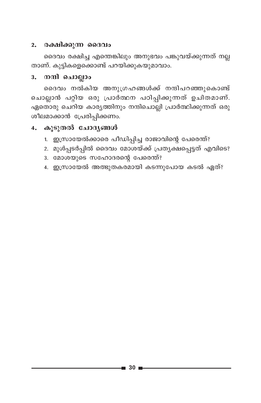#### 2. രക്ഷിക്കുന്ന ദൈവം

ദൈവം രക്ഷിച്ച എന്തെങ്കിലും അനുഭവം പങ്കുവയ്ക്കുന്നത് നല്ല താണ്. കുട്ടികളെക്കൊണ്ട് പറയിക്കുകയുമാവാം.

#### നന്ദി ചൊല്ലാം  $3.$

ദൈവം നൽകിയ അനുഗ്രഹങ്ങൾക്ക് നന്ദിപറഞ്ഞുകൊണ്ട് ചൊല്ലാൻ പറ്റിയ ഒരു പ്രാർത്ഥന പഠിപ്പിക്കുന്നത് ഉചിതമാണ്. ഏതൊരു ചെറിയ കാര്യത്തിനും നന്ദിചൊല്ലി പ്രാർത്ഥിക്കുന്നത് ഒരു ശീലമാക്കാൻ പ്രേരിപ്പിക്കണം.

### 4. കൂടുതൽ ചോദ്യങ്ങൾ

- 1. ഇസ്രായേൽക്കാരെ പീഡിപ്പിച്ച രാജാവിന്റെ പേരെന്ത്?
- 2. മുൾപ്പടർപ്പിൽ ദൈവം മോശയ്ക്ക് പ്രത്യക്ഷപ്പെട്ടത് എവിടെ?
- 3. മോശയുടെ സഹോദരന്റെ പേരെന്ത്?
- 4. ഇസ്രായേൽ അത്ഭുതകരമായി കടന്നുപോയ കടൽ ഏത്?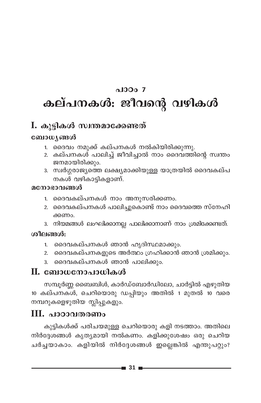# $0.0007$ കല്പനകൾ: ജീവന്റെ വഴികൾ

### I. കുട്ടികൾ സ്വന്തമാക്കേണ്ടത്

#### ബോധ്യങ്ങൾ

- 1. ദൈവം നമുക്ക് കല്പനകൾ നൽകിയിരിക്കുന്നു.
- 2. കല്പനകൾ പാലിച്ച് ജീവിച്ചാൽ നാം ദൈവത്തിന്റെ സ്വന്തം ജനമായിരിക്കും.
- 3. സ്വർഗ്ഗരാജ്യത്തെ ലക്ഷ്യമാക്കിയുള്ള യാത്രയിൽ ദൈവകല്പ നകൾ വഴികാട്ടികളാണ്.

#### മനോഭാവങ്ങൾ

- 1. ദൈവകല്പനകൾ നാം അനുസരിക്കണം.
- 2. ദൈവകല്പനകൾ പാലിച്ചുകൊണ്ട് നാം ദൈവത്തെ സ്നേഹി ക്കണം.
- 3. നിയമങ്ങൾ ലംഘിക്കാനല്ല പാലിക്കാനാണ് നാം ശ്രമിക്കേണ്ടത്.

#### ശീലങ്ങൾ:

- ദൈവകല്പനകൾ ഞാൻ ഹൃദിസ്ഥമാക്കും.  $1.$
- ദൈവകല്പനകളുടെ അർത്ഥം ഗ്രഹിക്കാൻ ഞാൻ ശ്രമിക്കും.  $2.$
- ദൈവകല്പനകൾ ഞാൻ പാലിക്കും.  $\mathbf{3}$

### $\Pi$ . ബോധനോപാധികൾ

സമ്പൂർണ്ണ ബൈബിൾ, കാർഡ്ബോർഡിലോ, ചാർട്ടിൽ എഴുതിയ 10 കല്പനകൾ, ചെറിയൊരു ഡപ്പിയും അതിൽ 1 മുതൽ 10 വരെ നമ്പറുകളെഴുതിയ സ്ലിപ്പുകളും.

### $\mathbf{III.}$  പാഠാവതരണം

കുട്ടികൾക്ക് പരിചയമുള്ള ചെറിയൊരു കളി നടത്താം. അതിലെ നിർദ്ദേശങ്ങൾ കൃത്യമായി നൽകണം. കളിക്കുശേഷം ഒരു ചെറിയ ചർച്ചയാകാം. കളിയിൽ നിർദ്ദേശങ്ങൾ ഇല്ലെങ്കിൽ എന്തുപറ്റും?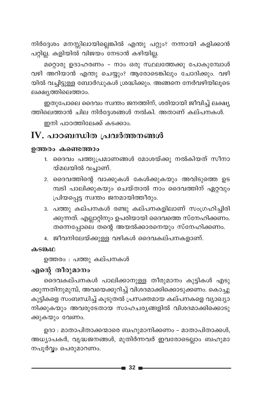നിർദ്ദേശം മനസ്സിലായില്ലെങ്കിൽ എന്തു പറ്റും? നന്നായി കളിക്കാൻ പറ്റില്ല. കളിയിൽ വിജയം നേടാൻ കഴിയില്ല.

മറ്റൊരു ഉദാഹരണം - നാം ഒരു സ്ഥലത്തേക്കു പോകുമ്പോൾ വഴി അറിയാൻ എന്തു ചെയ്യും? ആരോടെങ്കിലും ചോദിക്കും. വഴി യിൽ വച്ചിട്ടുള്ള ബോർഡുകൾ ശ്രദ്ധിക്കും. അങ്ങനെ നേർവഴിയിലൂടെ ലക്ഷ്യത്തിലെത്താം.

ഇതുപോലെ ദൈവം സ്വന്തം ജനത്തിന്, ശരിയായി ജീവിച്ച് ലക്ഷ്യ ത്തിലെത്താൻ ചില നിർദ്ദേശങ്ങൾ നൽകി. അതാണ് കല്പനകൾ.

ഇനി പാഠത്തിലേക്ക് കടക്കാം.

### $\mathbf W$ . പാഠബന്ധിത പ്രവർത്തനങ്ങൾ

#### ഉത്തരം കണ്ടെത്താം

- 1. ദൈവം പത്തുപ്രമാണങ്ങൾ മോശയ്ക്കു നൽകിയത് സീനാ യ്മലയിൽ വച്ചാണ്.
- 2. ദൈവത്തിന്റെ വാക്കുകൾ കേൾക്കുകയും അവിടുത്തെ ഉട മ്പടി പാലിക്കുകയും ചെയ്താൽ നാം ദൈവത്തിന് ഏറ്റവും പ്രിയപ്പെട്ട സ്വന്തം ജനമായിത്തീരും.
- 3. പത്തു കല്പനകൾ രണ്ടു കല്പനകളിലാണ് സംഗ്രഹിച്ചിരി ക്കുന്നത്. എല്ലാറ്റിനും ഉപരിയായി ദൈവത്തെ സ്നേഹിക്കണം. തന്നെപ്പോലെ തന്റെ അയൽക്കാരനെയും സ്നേഹിക്കണം.
- 4. ജീവനിലേയ്ക്കുള്ള വഴികൾ ദൈവകല്പനകളാണ്.

#### **കടങ്കഥ**

ഉത്തരം : പത്തു കല്പനകൾ

#### എന്റെ തീരുമാനം

ദൈവകല്പനകൾ പാലിക്കാനുള്ള തീരുമാനം കുട്ടികൾ എടു ക്കുന്നതിനുമുമ്പ്, അവയെക്കുറിച്ച് വിശദമാക്കിക്കൊടുക്കണം. കൊച്ചു കുട്ടികളെ സംബന്ധിച്ച് കൂടുതൽ പ്രസക്തമായ കല്പനകളെ വ്യാഖ്യാ നിക്കുകയും അവരുടേതായ സാഹചര്യങ്ങളിൽ വിശദമാക്കിക്കൊടു ക്കുകയും വേണം.

ഉദാ : മാതാപിതാക്കന്മാരെ ബഹുമാനിക്കണം – മാതാപിതാക്കൾ, അധ്യാപകർ, വൃദ്ധജനങ്ങൾ, മുതിർന്നവർ ഇവരോടെല്ലാം ബഹുമാ നപൂർവ്വം പെരുമാറണം.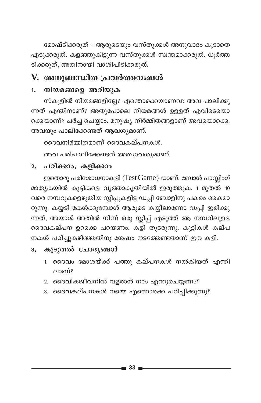മോഷ്ടിക്കരുത് - ആരുടെയും വസ്തുക്കൾ അനുവാദം കൂടാതെ എടുക്കരുത്. കളഞ്ഞുകിട്ടുന്ന വസ്തുക്കൾ സ്വന്തമാക്കരുത്. ധൂർത്ത ടിക്കരുത്, അതിനായി വാശിപിടിക്കരുത്.

## V. അനുബന്ധിത പ്രവർത്തനങ്ങൾ

#### നിയമങ്ങളെ അറിയുക  $1.$

സ്കൂളിൽ നിയമങ്ങളില്ലേ? എന്തൊക്കെയാണവ? അവ പാലിക്കു ന്നത് എന്തിനാണ്? അതുപോലെ നിയമങ്ങൾ ഉള്ളത് എവിടെയൊ ക്കെയാണ്? ചർച്ച ചെയ്യാം. മനുഷ്യ നിർമ്മിതങ്ങളാണ് അവയൊക്കെ. അവയും പാലിക്കേണ്ടത് ആവശ്യമാണ്.

ദൈവനിർമ്മിതമാണ് ദൈവകല്പനകൾ.

അവ പരിപാലിക്കേണ്ടത് അത്യാവശ്യമാണ്.

#### പഠിക്കാം, കളിക്കാം  $2.$

ഇതൊരു പരിശോധനാകളി (Test Game) യാണ്. ബോൾ പാസ്സിംഗ് മാതൃകയിൽ കുട്ടികളെ വൃത്താകൃതിയിൽ ഇരുത്തുക. 1 മുതൽ 10 വരെ നമ്പറുകളെഴുതിയ സ്ലിപ്പുകളിട്ട ഡപ്പി ബോളിനു പകരം കൈമാ റുന്നു. കയ്യടി കേൾക്കുമ്പോൾ ആരുടെ കയ്യിലാണോ ഡപ്പി ഇരിക്കു ...<br>ന്നത്, അയാൾ അതിൽ നിന്ന് ഒരു സ്ലിപ്പ് എടുത്ത് ആ നമ്പറിലുള്ള ദൈവകല്പന ഉറക്കെ പറയണം. കളി തുടരുന്നു. കുട്ടികൾ കല്പ നകൾ പഠിച്ചുകഴിഞ്ഞതിനു ശേഷം നടത്തേണ്ടതാണ് ഈ കളി.

### 3. കൂടുതൽ ചോദ്യങ്ങൾ

- 1. ദൈവം മോശയ്ക്ക് പത്തു കല്പനകൾ നൽകിയത് എന്തി ലാണ്?
- 2. ദൈവികജീവനിൽ വളരാൻ നാം എന്തുചെയ്യണം?
- 3. ദൈവകല്പനകൾ നമ്മെ എന്തൊക്കെ പഠിപ്പിക്കുന്നു?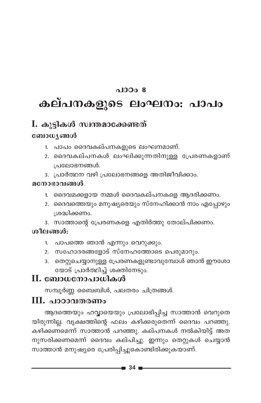### $0.10008$

# കല്പനകളുടെ ലംഘനം: പാപം

# I. കൂട്ടികൾ സ്വന്തമാക്കേണ്ടത്

#### ബോധ്യങ്ങൾ

- 1. പാപം ദൈവകല്പനകളുടെ ലംഘനമാണ്.
- 2. ദൈവകല്പനകൾ ലംഘിക്കുന്നതിനുള്ള പ്രേരണകളാണ് പ്രലോഭനങ്ങൾ.
- 3. പ്രാർത്ഥന വഴി പ്രലോഭനങ്ങളെ അതിജീവിക്കാം.

#### മനോഭാവങ്ങൾ

- 1. ദൈവമക്കളായ നമ്മൾ ദൈവകല്പനകളെ ആദരിക്കണം.
- 2. ദൈവത്തെയും മനുഷ്യരെയും സ്നേഹിക്കാൻ നാം എപ്പോഴും ശ്രദ്ധിക്കണം.
- 3. സാത്താന്റെ പ്രേരണകളെ എതിർത്തു തോല്പിക്കണം.

#### ശീലങ്ങൾ:

- 1. പാപത്തെ ഞാൻ എന്നും വെറുക്കും.
- 2. സഹോദരങ്ങളോട് സ്നേഹത്തോടെ പെരുമാറും.
- 3. തെറ്റുചെയ്യാനുള്ള പ്രേരണകളുണ്ടാവുമ്പോൾ ഞാൻ ഈശോ യോട് പ്രാർത്ഥിച്ച് ശക്തിനേടും.

### II. ബോധനോപാധികൾ

സമ്പൂർണ്ണ ബൈബിൾ, പലതരം ചിത്രങ്ങൾ.

### III. പാഠാവതരണം

ആദത്തെയും ഹവ്വായെയും പ്രലോഭിപ്പിച്ച സാത്താൻ വെറുതെ യിരുന്നില്ല. വൃക്ഷത്തിന്റെ ഫലം കഴിക്കരുതെന്ന് ദൈവം പറഞ്ഞു. കഴിക്കണമെന്ന് സാത്താൻ പറഞ്ഞു. കല്പനകൾ നൽകിയിട്ട് അത നുസരിക്കണമെന്ന് ദൈവം കല്പിച്ചു. ഇന്നും തെറ്റുകൾ ചെയ്യാൻ സാത്താൻ മനുഷ്യരെ പ്രേരിപ്പിച്ചുകൊണ്ടിരിക്കുകയാണ്.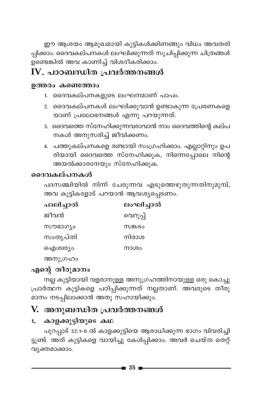ഈ ആശയം ആമുഖമായി കുട്ടികൾക്കിണങ്ങും വിധം അവതരി .<br>പിക്കാം. ദൈവകല്പനകൾ ലംഘിക്കുന്നത് സൂചിപ്പിക്കുന്ന ചിത്രങ്ങൾ ...<br>ഉണ്ടെങ്കിൽ അവ കാണിച്ച് വിശദീകരിക്കാം.

## IV. പാഠബന്ധിത പ്രവർത്തനങ്ങൾ

#### ഉത്തരം കണ്ടെത്താം

- 1. ദൈവകല്പനകളുടെ ലംഘനമാണ് പാപം.
- 2. ദൈവകല്പനകൾ ലംഘിക്കുവാൻ ഉണ്ടാകുന്ന പ്രേരണകളെ യാണ് പ്രലോഭനങ്ങൾ എന്നു പറയുന്നത്.
- 3. ദൈവത്തെ സ്നേഹിക്കുന്നവരാവാൻ നാം ദൈവത്തിന്റെ കല്പ നകൾ അനുസരിച്ച് ജീവിക്കണം.
- 4. പത്തുകല്പനകളെ രണ്ടായി സംഗ്രഹിക്കാം. എല്ലാറ്റിനും ഉപ രിയായി ദൈവത്തെ സ്നേഹിക്കുക, നിന്നെപ്പോലെ നിന്റെ അയൽക്കാരനേയും സ്നേഹിക്കുക.

### ദൈവകല്പനകൾ

പദസഞ്ചിയിൽ നിന്ന് ചേരുന്നവ എടുത്തെഴുതുന്നതിനുമുമ്പ്, അവ കുട്ടികളോട് പറയാൻ ആവശ്യപ്പെടണം.

| പാലിച്ചാൽ | ലംഘിച്ചാൽ |
|-----------|-----------|
| ജീവൻ      | വെറുപ്പ്  |
| സൗഭാഗ്യം  | സങ്കടം    |
| സംതൃപ്തി  | നിരാശ     |
| ഐശ്വര്യം  | നാശം      |
| അനുഗ്രഹം  |           |

### എന്റെ തീരുമാനം

നല്ല കുട്ടിയായി വളരാനുള്ള അനുഗ്രഹത്തിനായുള്ള ഒരു കൊച്ചു പ്രാർത്ഥന കുട്ടികളെ പഠിപ്പിക്കുന്നത് നല്ലതാണ്. അവരുടെ തീരു മാനം നടപ്പിലാക്കാൻ അതു സഹായിക്കും.

## V. അനുബന്ധിത പ്രവർത്തനങ്ങൾ

### 1. കാളക്കുട്ടിയുടെ കഥ

പുറപ്പാട് 32:1-6 ൽ കാളക്കുട്ടിയെ ആരാധിക്കുന്ന ഭാഗം വിവരിച്ചി ട്ടുണ്ട്. അത് കുട്ടികളെ വായിച്ചു കേൾപ്പിക്കാം. അവർ ചെയ്ത തെറ്റ് വ്യക്തമാക്കാം.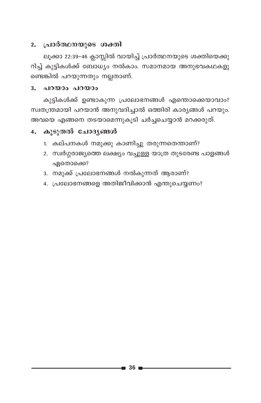#### 2. പ്രാർത്ഥനയുടെ ശക്തി

ലൂക്കാ 22:39-46 ക്ലാസ്സിൽ വായിച്ച് പ്രാർത്ഥനയുടെ ശക്തിയെക്കു റിച്ച് കുട്ടികൾക്ക് ബോധ്യം നൽകാം. സമാനമായ അനുഭവകഥകളു ണ്ടെങ്കിൽ പറയുന്നതും നല്ലതാണ്.

#### **3. പറയാം പറയാം**

കുട്ടികൾക്ക് ഉണ്ടാകുന്ന പ്രലോഭനങ്ങൾ എന്തൊക്കെയാവാം? സ്വതന്ത്രമായി പറയാൻ അനുവദിച്ചാൽ ഒത്തിരി കാര്യങ്ങൾ പറയും. അവയെ എങ്ങനെ തടയാമെന്നുകൂടി ചർച്ചചെയ്യാൻ മറക്കരുത്.

### 4. കൂടുതൽ ചോദ്യങ്ങൾ

- 1. കല്പനകൾ നമുക്കു കാണിച്ചു തരുന്നതെന്താണ്?
- 2. സ്വർഗ്ഗരാജ്യത്തെ ലക്ഷ്യം വച്ചുള്ള യാത്ര തുടരേണ്ട പാളങ്ങൾ ഏതൊക്കെ?
- 3. നമുക്ക് പ്രലോഭനങ്ങൾ നൽകുന്നത് ആരാണ്?
- 4. പ്രലോഭനങ്ങളെ അതിജീവിക്കാൻ എന്തുചെയ്യണം?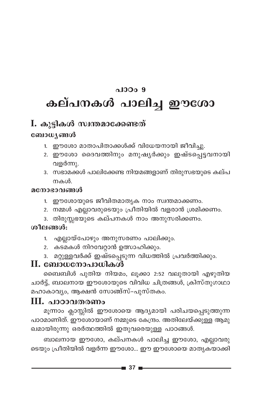# $0.1000.9$ കല്പനകൾ പാലിച്ച ഈശോ

## I. കുട്ടികൾ സ്വന്തമാക്കേണ്ടത്

### ബോധ്യങ്ങൾ

- 1. ഈശോ മാതാപിതാക്കൾക്ക് വിധേയനായി ജീവിച്ചു.
- 2. ഈശോ ദൈവത്തിനും മനുഷ്യർക്കും ഇഷ്ടപ്പെട്ടവനായി വളർന്നു.
- 3. സഭാമക്കൾ പാലിക്കേണ്ട നിയമങ്ങളാണ് തിരുസഭയുടെ കല്പ നകൾ

#### മനോഭാവങ്ങൾ

- 1. ഈശോയുടെ ജീവിതമാതൃക നാം സ്വന്തമാക്കണം.
- 2. നമ്മൾ എല്ലാവരുടെയും പ്രീതിയിൽ വളരാൻ ശ്രമിക്കണം.
- 3. തിരുസ്സഭയുടെ കല്പനകൾ നാം അനുസരിക്കണം.

### ശീലങ്ങൾ:

- 1. എല്ലായ്പോഴും അനുസരണം പാലിക്കും.
- 2. കടമകൾ നിറവേറ്റാൻ ഉത്സാഹിക്കും.
- 3. മറ്റുള്ളവർക്ക് ഇഷ്ടപ്പെടുന്ന വിധത്തിൽ പ്രവർത്തിക്കും.

## $\mathbf H$ . ബോധനോപാധികൾ

ബൈബിൾ പുതിയ നിയമം, ലൂക്കാ 2:52 വലുതായി എഴുതിയ ചാർട്ട്, ബാലനായ ഈശോയുടെ വിവിധ ചിത്രങ്ങൾ, ക്രിസ്തുഗാഥാ മഹാകാവ്യം, ആക്ഷൻ സോങ്ങ്സ്-പുസ്തകം.

## III. പാഠാവതരണം

മൂന്നാം ക്ലാസ്സിൽ ഈശോയെ ആദ്യമായി പരിചയപ്പെടുത്തുന്ന പാഠമാണിത്. ഈശോയാണ് നമ്മുടെ കേന്ദ്രം. അതിലേയ്ക്കുള്ള ആമു ഖമായിരുന്നു ഒരർത്ഥത്തിൽ ഇതുവരെയുള്ള പാഠങ്ങൾ.

ബാലനായ ഈശോ, കല്പനകൾ പാലിച്ച ഈശോ, എല്ലാവരു ടെയും പ്രീതിയിൽ വളർന്ന ഈശോ... ഈ ഈശോയെ മാതൃകയാക്കി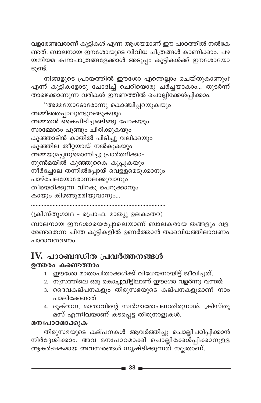വളരേണ്ടവരാണ് കുട്ടികൾ എന്ന ആശയമാണ് ഈ പാഠത്തിൽ നൽകേ ണ്ടത്. ബാലനായ ഈശോയുടെ വിവിധ ചിത്രങ്ങൾ കാണിക്കാം. പഴ യനിയമ കഥാപാത്രങ്ങളേക്കാൾ അടുപ്പം കുട്ടികൾക്ക് ഈശോയോ ടുണ്ട്.

നിങ്ങളുടെ പ്രായത്തിൽ ഈശോ എന്തെല്ലാം ചെയ്തുകാണും? എന്ന് കുട്ടികളോടു ചോദിച്ച് ചെറിയൊരു ചര്ച്ചയാകാം... തുടർന്ന് താഴെക്കാണുന്ന വരികൾ ഈണത്തിൽ ചൊല്ലിക്കേൾപ്പിക്കാം.

```
"അമ്മയോടോരോന്നു കൊഞ്ചിപ്പറയുകയും
അമ്മിഞ്ഞപ്പാലുണ്ടുറങ്ങുകയും
അമ്മതൻ കൈപിടിച്ചങ്ങിങ്ങു പോകയും
സാമ്മോദം പൂണ്ടും ചിരിക്കുകയും
കുഞ്ഞാടിൻ കാതിൽ പിടിച്ചു വലിക്കയും
കുഞ്ഞില തീറ്റയായ് നൽകുകയും
അമ്മയുമച്ഛനുമൊന്നിച്ചു പ്രാർത്ഥിക്കാ-
നുൺമയിൽ കുഞ്ഞുകൈ കൂപ്പുകയും
നീർച്ചോല തന്നിൽപ്പോയ് വെള്ളമെടുക്കാനും
പാഴ്ചേലയോരോന്നലക്കുവാനും
തീയെരിക്കുന്ന വിറകു പെറുക്കാനും
കായും കിഴങ്ങുമരിയുവാനും...
```

```
(ക്രിസ്തുഗാഥ - പ്രൊഫ. മാത്യു ഉലകംതറ)
```
ബാലനായ ഈശോയെപ്പോലെയാണ് ബാലകരായ തങ്ങളും വള രേണ്ടതെന്ന ചിന്ത കുട്ടികളിൽ ഉണർത്താൻ തക്കവിധത്തിലാവണം പാഠാവതരണം.

## IV. പാഠബന്ധിത പ്രവർത്തനങ്ങൾ

#### ഉത്തരം കണ്ടെത്താം

- 1. ഈശോ മാതാപിതാക്കൾക്ക് വിധേയനായിട്ട് ജീവിച്ചത്.
- 2. നസ്രത്തിലെ ഒരു കൊച്ചുവീട്ടിലാണ് ഈശോ വളർന്നു വന്നത്.
- 3. ദൈവകല്പനകളും തിരുസഭയുടെ കല്പനകളുമാണ് നാം പാലിക്കേണ്ടത്.
- 4. ദുക്റാന, മാതാവിന്റെ സ്വർഗാരോപണതിരുനാൾ, ക്രിസ്തു മസ് എന്നിവയാണ് കടപ്പെട്ട തിരുനാളുകൾ.

### മനഃപാഠമാക്കുക

തിരുസഭയുടെ കല്പനകൾ ആവർത്തിച്ചു ചൊല്ലിപഠിപ്പിക്കാൻ നിർദ്ദേശിക്കാം. അവ മനഃപാഠമാക്കി ചൊല്ലിക്കേശ്പ്പിക്കാനുള്ള ആകർഷകമായ അവസരങ്ങൾ സൃഷ്ടിക്കുന്നത് നല്ലതാണ്.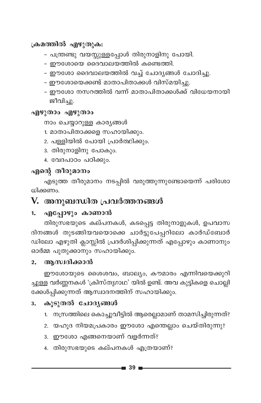#### ക്രമത്തിൽ എഴുതുക:

- പന്ത്രണ്ടു വയസ്സുള്ളപ്പോൾ തിരുനാളിനു പോയി.
- ഈശോയെ ദൈവാലയത്തിൽ കണ്ടെത്തി.
- ഈശോ ദൈവാലയത്തിൽ വച്ച് ചോദ്യങ്ങൾ ചോദിച്ചു.
- ഈശോയെക്കണ്ട് മാതാപിതാക്കൾ വിസ്മയിച്ചു.
- ഈശോ നസറത്തിൽ വന്ന് മാതാപിതാക്കൾക്ക് വിധേയനായി ജീവിച്ചു.

#### എഴുതാം എഴുതാം

നാം ചെയ്യാറുള്ള കാര്യങ്ങൾ

- 1. മാതാപിതാക്കളെ സഹായിക്കും.
- 2. പള്ളിയിൽ പോയി പ്രാർത്ഥിക്കും.
- 3. തിരുനാളിനു പോകും.
- 4. വേദപാഠം പഠിക്കും.

### എന്റെ തീരുമാനം

എടുത്ത തീരുമാനം നടപ്പിൽ വരുത്തുന്നുണ്ടോയെന്ന് പരിശോ ധിക്കണം.

## V. അനുബന്ധിത പ്രവർത്തനങ്ങൾ

#### എപ്പോഴും കാണാൻ 1.

തിരുസഭയുടെ കല്പനകൾ, കടപ്പെട്ട തിരുനാളുകൾ, ഉപവാസ ദിനങ്ങൾ തുടങ്ങിയവയൊക്കെ ചാർട്ടുപേപ്പറിലോ കാർഡ്ബോർ ഡിലോ എഴുതി ക്ലാസ്സിൽ പ്രദർശിപ്പിക്കുന്നത് എപ്പോഴും കാണാനും ഓർമ്മ പുതുക്കാനും സഹായിക്കും.

#### ആസ്വദിക്കാൻ  $2.$

ഈശോയുടെ ശൈശവം, ബാല്യം, കൗമാരം എന്നിവയെക്കുറി ച്ചുള്ള വർണ്ണനകൾ 'ക്രിസ്തുഗാഥ' യിൽ ഉണ്ട്. അവ കുട്ടികളെ ചൊല്ലി ക്കേൾപ്പിക്കുന്നത് ആസ്ഥാദനത്തിന് സഹായിക്കും.

#### കൂടുതൽ ചോദ്യങ്ങൾ  $3<sub>1</sub>$

- 1. നസ്രത്തിലെ കൊച്ചുവീട്ടിൽ ആരെല്ലാമാണ് താമസിച്ചിരുന്നത്?
- 2. യഹൂദ നിയമപ്രകാരം ഈശോ എന്തെല്ലാം ചെയ്തിരുന്നു?
- 3. ഈശോ എങ്ങനെയാണ് വളർന്നത്?
- 4. തിരുസഭയുടെ കല്പനകൾ എത്രയാണ്?

■ 39 I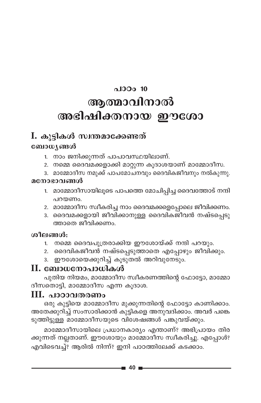# $0.13001$  10 ആത്മാവിനാൽ അഭിഷിക്തനായ ഈശോ

## I. കൂട്ടികൾ സ്വന്തമാക്കേണ്ടത്

### ബോധ്യങ്ങൾ

- 1. നാം ജനിക്കുന്നത് പാപാവസ്ഥയിലാണ്.
- 2. നമ്മെ ദൈവമക്കളാക്കി മാറ്റുന്ന കൂദാശയാണ് മാമ്മോദീസ.
- 3. മാമ്മോദീസ നമുക്ക് പാപമോചനവും ദൈവികജീവനും നൽകുന്നു.

#### മനോഭാവങ്ങൾ

- 1. മാമ്മോദീസായിലൂടെ പാപത്തെ മോചിപ്പിച്ച ദൈവത്തോട് നന്ദി പറയണം.
- 2. മാമ്മോദീസ സ്ഥീകരിച്ച നാം ദൈവമക്കളെപ്പോലെ ജീവിക്കണം.
- 3. ദൈവമക്കളായി ജീവിക്കാനുള്ള ദൈവികജീവൻ നഷ്ടപ്പെടു ത്താതെ ജീവിക്കണം.

### ശീലങ്ങൾ:

- 1. നമ്മെ ദൈവപുത്രരാക്കിയ ഈശോയ്ക്ക് നന്ദി പറയും.
- 2. ദൈവികജീവൻ നഷ്ടപ്പെടുത്താതെ എപ്പോഴും ജീവിക്കും.
- ഈശോയെക്കുറിച്ച് കൂടുതൽ അറിവുനേടും.  $3.$

### **II. ബോധനോപാധികൾ**

പുതിയ നിയമം, മാമ്മോദീസ സ്വീകരണത്തിന്റെ ഫോട്ടോ, മാമ്മോ ദീസതൊട്ടി, മാമ്മോദീസ എന്ന കുദാശ.

### III. പാഠാവതരണം

ഒരു കുട്ടിയെ മാമ്മോദീസ മുക്കുന്നതിന്റെ ഫോട്ടോ കാണിക്കാം. അതേക്കുറിച്ച് സംസാരിക്കാൻ കുട്ടികളെ അനുവദിക്കാം. അവർ പങ്കെ ടുത്തിട്ടുള്ള മാമ്മോദീസയുടെ വിശേഷങ്ങൾ പങ്കുവയ്ക്കും.

മാമ്മോദീസായിലെ പ്രധാനകാര്യം എന്താണ്? അഭിപ്രായം തിര ക്കുന്നത് നല്ലതാണ്. ഈശോയും മാമ്മോദീസ സ്വീകരിച്ചു. എപ്പോൾ? എവിടെവച്ച്? ആരിൽ നിന്ന്? ഇനി പാഠത്തിലേക്ക് കടക്കാം.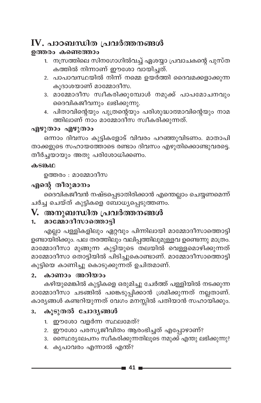## $IV.$  പാഠബന്ധിത പ്രവർത്തനങ്ങൾ

#### ഉത്തരം കണ്ടെത്താം

- 1. നസ്ത്തിലെ സിനഗോഗിൽവച്ച് ഏശയ്യാ പ്രവാചകന്റെ പുസ്ത കത്തിൽ നിന്നാണ് ഈശോ വായിച്ചത്.
- 2. പാപാവസ്ഥയിൽ നിന്ന് നമ്മെ ഉയർത്തി ദൈവമക്കളാക്കുന്ന കുദാശയാണ് മാമ്മോദീസ.
- .<br>3. മാമ്മോദീസ സ്വീകരിക്കുമ്പോൾ നമുക്ക് പാപമോചനവും ദൈവികജീവനും ലഭിക്കുന്നു.
- 4. പിതാവിന്റെയും പുത്രന്റെയും പരിശുദ്ധാത്മാവിന്റെയും നാമ ത്തിലാണ് നാം മാമ്മോദീസ സ്വീകരിക്കുന്നത്.

#### എഴുതാം എഴുതാം

ഒന്നാം ദിവസം കുട്ടികളോട് വിവരം പറഞ്ഞുവിടണം. മാതാപി താക്കളുടെ സഹായത്തോടെ രണ്ടാം ദിവസം എഴുതിക്കൊണ്ടുവരട്ടെ. തീർച്ചയായും അതു പരിശോധിക്കണം.

#### കടങ്കഥ

ഉത്തരം : മാമ്മോദീസ

### എന്റെ തീരുമാനം

ദൈവികജീവൻ നഷ്ടപ്പെടാതിരിക്കാൻ എന്തെല്ലാം ചെയ്യണമെന്ന് ചർച്ച ചെയ്ത് കുട്ടികളെ ബോധ്യപ്പെടുത്തണം.

### V. അനുബന്ധിത പ്രവർത്തനങ്ങൾ

#### മാമ്മോദീസാത്തൊട്ടി  $1<sup>1</sup>$

എല്ലാ പള്ളികളിലും ഏറ്റവും പിന്നിലായി മാമ്മോദീസാത്തൊട്ടി ഉണ്ടായി്രിക്കും. പല തരത്തിലും വലിപ്പത്തിലുമുള്ളവ ഉണ്ടെന്നു മാത്രം. മാമ്മോദീസാ മുങ്ങുന്ന കുട്ടിയുടെ തലയിൽ വെള്ളമൊഴിക്കുന്നത് മാമ്മോദീസാ തൊട്ടിയിൽ പിടിച്ചുകൊണ്ടാണ്. മാമ്മോദീസാത്തൊട്ടി കുട്ടിയെ കാണിച്ചു കൊടുക്കുന്നത് ഉചിതമാണ്.

#### കാണാം അറിയാം  $2.$

കഴിയുമെങ്കിൽ കുട്ടികളെ ഒരുമിച്ചു ചേർത്ത് പള്ളിയിൽ നടക്കുന്ന മാമ്മോദീസാ ചടങ്ങിൽ പങ്കെടുപ്പിക്കാൻ ശ്രമിക്കുന്നത് നല്ലതാണ്. കാര്യങ്ങൾ കണ്ടറിയുന്നത് വേഗം മനസ്സിൽ പതിയാൻ സഹായിക്കും.

#### കൂടുതൽ ചോദ്യങ്ങൾ  $3.$

- 1. ഈശോ വളർന്ന സ്ഥലമേത്?
- 2. ഈശോ പരസ്യജീവിതം ആരംഭിച്ചത് എപ്പോഴാണ്?
- 3. സൈ്ഥര്യലേപനം സ്വീകരിക്കുന്നതിലൂടെ നമുക്ക് എന്തു ലഭിക്കുന്നു?
- 4. കൃപാവരം എന്നാൽ എന്ത്?

-41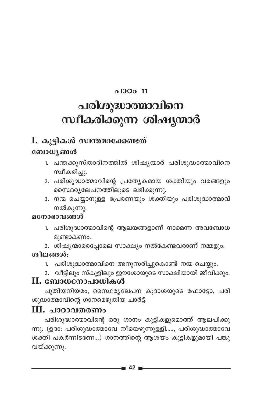### പാഠം 11

# പരിശുദ്ധാത്മാവിനെ സ്ഥീകരിക്കുന്ന ശിഷ്യന്മാർ

## I. കൂട്ടികൾ സ്വന്തമാക്കേണ്ടത്

### ബോധ്യങ്ങൾ

- 1. പന്തക്കുസ്താദിനത്തിൽ ശിഷ്യന്മാർ പരിശുദ്ധാത്മാവിനെ സ്വീകരിച്ചു.
- 2. പരിശുദ്ധാത്മാവിന്റെ പ്രത്യേകമായ ശക്തിയും വരങ്ങളും സൈഥര്യലേപനത്തിലൂടെ ലഭിക്കുന്നു.
- 3. നന്മ ചെയ്യാനുള്ള പ്രേരണയും ശക്തിയും പരിശുദ്ധാത്മാവ് നൽകുന്നു.

### മനോഭാവങ്ങൾ

- 1. പരിശുദ്ധാത്മാവിന്റെ ആലയങ്ങളാണ് നാമെന്ന അവബോധ മുണ്ടാകണം.
- 2. ശിഷ്യന്മാരെപ്പോലെ സാക്ഷ്യം നൽകേണ്ടവരാണ് നമ്മളും.

### ശീലങ്ങൾ:

- 1. പരിശുദ്ധാത്മാവിനെ അനുസരിച്ചുകൊണ്ട് നന്മ ചെയ്യും.
- 2. വീട്ടിലും സ്കൂളിലും ഈശോയുടെ സാക്ഷിയായി ജീവിക്കും.

### $\mathbf H$ . ബോധനോപാധികൾ

പുതിയനിയമം, സൈ്ഥര്യലേപന കൂദാശയുടെ ഫോട്ടോ, പരി ശുദ്ധാത്മാവിന്റെ ഗാനമെഴുതിയ ചാർട്ട്.

### III. പാഠാവതരണം

പരിശുദ്ധാത്മാവിന്റെ ഒരു ഗാനം കുട്ടികളുമൊത്ത് ആലപിക്കു ന്നു. (ഉദാ: പരിശുദ്ധാത്മാവേ നീയെഴുന്നുള്ളി....., പരിശുദ്ധാത്മാവേ ശക്തി പകർന്നിടണേ...) ഗാനത്തിന്റെ ആശയം കുട്ടികളുമായി പങ്കു വയ്ക്കുന്നു.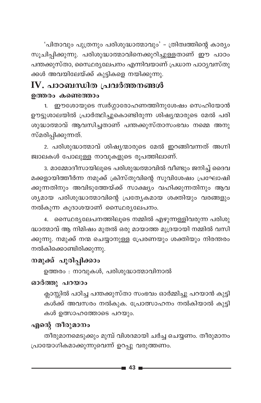'പിതാവും പുത്രനും പരിശുദ്ധാത്മാവും' - ത്രിത്വത്തിന്റെ കാര്യം സൂചിപ്പിക്കുന്നു. പരിശുദ്ധാത്മാവിനെക്കുറിച്ചുള്ളതാണ് ഈ പാഠം പന്തക്കുസ്താ, സൈഥര്യലേപനം എന്നിവയാണ് പ്രധാന പാഠ്യവസ്തു ക്കൾ അവയിലേയ്ക്ക് കുട്ടികളെ നയിക്കുന്നു.

## $\mathbf{IV}_{\boldsymbol{\cdot}}$  പാഠബന്ധിത പ്രവർത്തനങ്ങൾ ഉത്തരം കണ്ടെത്താം

1. ഈശോയുടെ സ്വർഗ്ഗാരോഹണത്തിനുശേഷം സെഹിയോൻ ഊട്ടുശാലയിൽ പ്രാർത്ഥിച്ചുകൊണ്ടിരുന്ന ശിഷ്യന്മാരുടെ മേൽ പരി ശുദ്ധാത്മാവ് ആവസിച്ചതാണ് പന്തക്കുസ്താസംഭവം നമ്മെ അനു സ്മരിപ്പിക്കുന്നത്.

2. പരിശുദ്ധാത്മാവ് ശിഷ്യന്മാരുടെ മേൽ ഇറങ്ങിവന്നത് അഗ്നി ജ്വാലകൾ പോലുള്ള നാവുകളുടെ രൂപത്തിലാണ്.

3. മാമ്മോദീസായിലൂടെ പരിശുദ്ധത്മാവിൽ വീണ്ടും ജനിച്ച് ദൈവ മക്കളായിത്തീർന്ന നമുക്ക് ക്രിസ്തുവിന്റെ സുവിശേഷം പ്രഘോഷി ക്കുന്നതിനും അവിടുത്തേയ്ക്ക് സാക്ഷ്യം വഹിക്കുന്നതിനും ആവ ശ്യമായ പരിശുദ്ധാത്മാവിന്റെ പ്രത്യേകമായ ശക്തിയും വരങ്ങളും നൽകുന്ന കൂദാശയാണ് സൈഥര്യലേപനം.

4. സൈ്ഥര്യലേപനത്തിലൂടെ നമ്മിൽ എഴുന്നള്ളിവരുന്ന പരിശു ദ്ധാത്മാവ് ആ നിമിഷം മുതൽ ഒരു മായാത്ത മുദ്രയായി നമ്മിൽ വസി ക്കുന്നു. നമുക്ക് നന്മ ചെയ്യാനുള്ള പ്രേരണയും ശക്തിയും നിരന്തരം നൽകിക്കൊണ്ടിരിക്കുന്നു.

### നമുക്ക് പൂരിപ്പിക്കാം

ഉത്തരം : നാവുകൾ, പരിശുദ്ധാത്മാവിനാൽ

### ഓർത്തു പറയാം

ക്ലാസ്സിൽ പഠിച്ച പന്തക്കുസ്താ സംഭവം ഓർമ്മിച്ചു പറയാൻ കുട്ടി കൾക്ക് അവസരം നൽകുക. പ്രോത്സാഹനം നൽകിയാൽ കുട്ടി കൾ ഉത്സാഹത്തോടെ പറയും.

### എന്റെ തീരുമാനം

തീരുമാനമെടുക്കും മുമ്പ് വിശദമായി ചർച്ച ചെയ്യണം. തീരുമാനം പ്രായോഗികമാക്കുന്നുവെന്ന് ഉറപ്പു വരുത്തണം.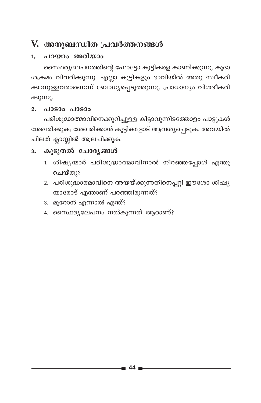## V. അനുബന്ധിത പ്രവർത്തനങ്ങൾ

#### പറയാം അറിയാം  $1<sub>1</sub>$

സൈ്ഥര്യലേപനത്തിന്റെ ഫോട്ടോ കുട്ടികളെ കാണിക്കുന്നു. കൂദാ ശക്രമം വിവരിക്കുന്നു. എല്ലാ കുട്ടികളും ഭാവിയിൽ അതു സ്ഥീകരി ക്കാനുള്ളവരാണെന്ന് ബോധ്യപ്പെടുത്തുന്നു. പ്രാധാന്യം വിശദീകരി ക്കുന്നു.

#### പാടാം പാടാം  $2.$

പരിശുദ്ധാത്മാവിനെക്കുറിച്ചുള്ള കിട്ടാവുന്നിടത്തോളം പാട്ടുകൾ ശേഖരിക്കുക; ശേഖരിക്കാൻ കുട്ടികളോട് ആവശ്യപ്പെടുക, അവയിൽ ചിലത് ക്ലാസ്സിൽ ആലപിക്കുക.

#### കൂടുതൽ ചോദ്യങ്ങൾ  $3<sub>z</sub>$

- 1. ശിഷ്യന്മാർ പരിശുദ്ധാത്മാവിനാൽ നിറഞ്ഞപ്പോൾ എന്തു ചെയ്തു?
- 2. പരിശുദ്ധാത്മാവിനെ അയയ്ക്കുന്നതിനെപ്പറ്റി ഈശോ ശിഷ്യ ന്മാരോട് എന്താണ് പറഞ്ഞിരുന്നത്?
- 3. മൂറോൻ എന്നാൽ എന്ത്?
- 4. സൈഥര്യലേപനം നൽകുന്നത് ആരാണ്?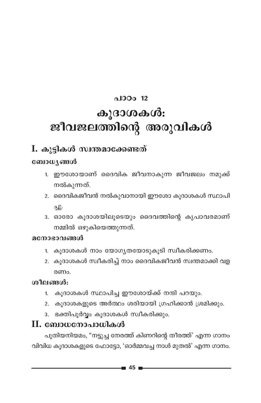# $0.100012$ കൂദാശകൾ: ജീവജലത്തിന്റെ അരുവികൾ

## I. കൂട്ടികൾ സ്വന്തമാക്കേണ്ടത്

#### ബോധ്യങ്ങൾ

- 1. ഈശോയാണ് ദൈവിക ജീവനാകുന്ന ജീവജലം നമുക്ക് നൽകുന്നത്.
- 2. ദൈവികജീവൻ നൽകുവാനായി ഈശോ കുദാശകൾ സ്ഥാപി  $-1$ .
- 3. ഓരോ കുദാശയിലുടെയും ദൈവത്തിന്റെ കൃപാവരമാണ് നമ്മിൽ ഒഴുകിയെത്തുന്നത്.

#### മനോഭാവങ്ങൾ

- 1. കൂദാശകൾ നാം യോഗ്യതയോടുകൂടി സ്വീകരിക്കണം.
- 2. കുദാശകൾ സ്വീകരിച്ച് നാം ദൈവികജീവൻ സ്വന്തമാക്കി വള രണപ

### ശീലങ്ങൾ:

- 1. കുദാശകൾ സ്ഥാപിച്ച ഈശോയ്ക്ക് നന്ദി പറയും.
- 2. കുദാശകളുടെ അർത്ഥം ശരിയായി ഗ്രഹിക്കാൻ ശ്രമിക്കും.
- 3. ഭക്തിപൂർവ്വം കുദാശകൾ സ്വീകരിക്കും.

### $\mathbf H$ . ബോധനോപാധികൾ

പൂതിയനിയമം, "നട്ടുച്ച നേരത്ത് കിണറിന്റെ തീരത്ത്' എന്ന ഗാനം വിവിധ കുദാശകളുടെ ഫോട്ടോ, 'ഓർമ്മവച്ച നാൾ മുതൽ' എന്ന ഗാനം.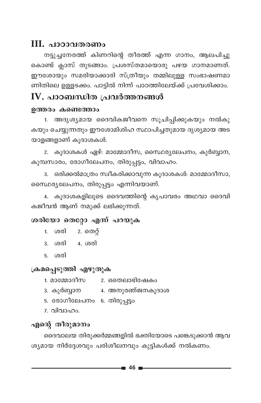### **III. പാഠാവതരണം**

നട്ടുച്ചനേരത്ത് കിണറിന്റെ തീരത്ത് എന്ന ഗാനം, ആലപിച്ചു കൊണ്ട് ക്ലാസ് തുടങ്ങാം. പ്രശസ്തമായൊരു പഴയ ഗാനമാണത്. ഈശോയും സമരിയാക്കാരി സ്ത്രീയും തമ്മിലുള്ള സംഭാഷണമാ ണിതിലെ ഉള്ളടക്കം. പാട്ടിൽ നിന്ന് പാഠത്തിലേയ്ക്ക് പ്രവേശിക്കാം.

### IV. പാഠബന്ധിത പ്രവർത്തനങ്ങൾ

#### ഉത്തരം കണ്ടെത്താം

അദൃശ്യമായ ദൈവികജീവനെ സൂചിപ്പിക്കുകയും നൽകു  $1<sup>1</sup>$ കയും ചെയ്യുന്നതും ഈശോമിശിഹ സ്ഥാപിച്ചതുമായ ദൃശ്യമായ അട യാളങ്ങളാണ് കൂദാശകൾ.

2. കൂദാശകൾ ഏഴ്: മാമ്മോദീസ, സൈഥര്യലേപനം, കുർബ്ബാന, കുമ്പസാരം, രോഗീലേപനം, തിരുപ്പട്ടം, വിവാഹം.

ഒരിക്കൽമാത്രം സ്വീകരിക്കാവുന്ന കൂദാശകൾ: മാമ്മോദീസാ,  $3.$ സൈ്ഥര്യലേപനം, തിരുപ്പട്ടം എന്നിവയാണ്.

4. കൂദാശകളിലൂടെ ദൈവത്തിന്റെ കൃപാവരം അഥവാ ദൈവി കജീവൻ ആണ് നമുക്ക് ലഭിക്കുന്നത്.

#### ശരിയോ തെറ്റോ എന്ന് പറയുക

- 1. ശരി 2. തെറ്റ്
- 3. ശരി 4. ശരി
- 5. ശരി

### ക്രമപ്പെടുത്തി എഴുതുക

- 1. മാമ്മോദീസ 2. തൈലാഭിഷേകം
- 3. കുർബ്ബാന 4. അനുരഞ്ജനകൂദാശ
- 5. രോഗീലേപനം 6. തിരുപ്പട്ടം
- 7. വിവാഹം.

### എന്റെ തീരുമാനം

ദൈവാലയ തിരുക്കർമ്മങ്ങളിൽ ഭക്തിയോടെ പങ്കെടുക്കാൻ ആവ ശ്യമായ നിർദ്ദേശവും പരിശീലനവും കൂട്ടികൾക്ക് നൽകണം.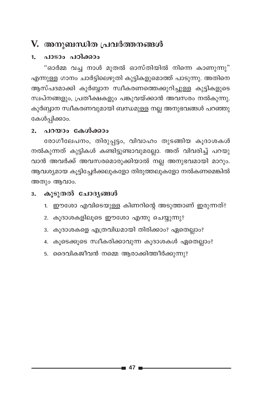## V. അനുബന്ധിത പ്രവർത്തനങ്ങൾ

#### പാടാം പഠിക്കാം  $\mathbf{1}$

"ഓർമ്മ വച്ച നാൾ മുതൽ ഓസ്തിയിൽ നിന്നെ കാണുന്നു" എന്നുള്ള ഗാനം ചാർട്ടിലെഴുതി കുട്ടികളുമൊത്ത് പാടുന്നു. അതിനെ ആസ്പദമാക്കി കുർബ്ബാന സ്ഥീകരണത്തെക്കുറിച്ചുള്ള കുട്ടികളുടെ സ്വപ്നങ്ങളും, പ്രതീക്ഷകളും പങ്കുവയ്ക്കാൻ അവസരം നൽകുന്നു. കുർബ്ബാന സ്ഥീകരണവുമായി ബന്ധമുള്ള നല്ല അനുഭവങ്ങൾ പറഞ്ഞു കേൾപ്പിക്കാം.

#### 2. പറയാം കേൾക്കാം

രോഗീലേപനം, തിരുപ്പട്ടം, വിവാഹം തുടങ്ങിയ കൂദാശകൾ നൽകുന്നത് കുട്ടികൾ കണ്ടിട്ടുണ്ടാവുമല്ലോ. അത് വിവരിച്ച് പറയു വാൻ അവർക്ക് അവസരമൊരുക്കിയാൽ നല്ല അനുഭവമായി മാറും. ആവശ്യമായ കൂട്ടിച്ചേർക്കലുകളോ തിരുത്തലുകളോ നൽകണമെങ്കിൽ അതും ആവാം.

#### കൂടുതൽ ചോദ്യങ്ങൾ  $3.$

- 1. ഈശോ എവിടെയുള്ള കിണറിന്റെ അടുത്താണ് ഇരുന്നത്?
- 2. കൂദാശകളിലൂടെ ഈശോ എന്തു ചെയ്യുന്നു?
- 3. കൂദാശകളെ എത്രവിധമായി തിരിക്കാം? ഏതെല്ലാം?
- 4. കൂടെക്കൂടെ സ്വീകരിക്കാവുന്ന കൂദാശകൾ ഏതെല്ലാം?
- 5. ദൈവികജീവൻ നമ്മെ ആരാക്കിത്തീർക്കുന്നു?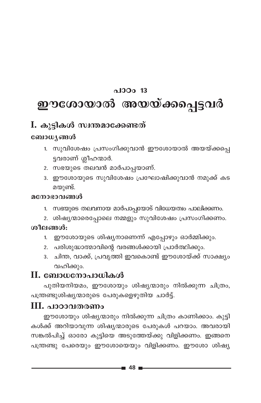### $0.130013$

# ഈശോയാൽ അയയ്ക്കപ്പെട്ടവർ

### I. കൂട്ടികൾ സ്വന്തമാക്കേണ്ടത്

### ബോധ്യങ്ങൾ

- 1. സുവിശേഷം പ്രസംഗിക്കുവാൻ ഈശോയാൽ അയയ്ക്കപ്പെ ട്ടവരാണ് ശ്ലീഹന്മാർ.
- 2. സഭയുടെ തലവൻ മാർപാപ്പയാണ്.
- 3. ഈശോയുടെ സുവിശേഷം പ്രഘോഷിക്കുവാൻ നമുക്ക് കട മയുണ്ട്.

#### മനോഭാവങ്ങൾ

- 1. സഭയുടെ തലവനായ മാർപാപ്പയോട് വിധേയത്വം പാലിക്കണം.
- 2. ശിഷ്യന്മാരെപ്പോലെ നമ്മളും സുവിശേഷം പ്രസംഗിക്കണം.

#### ശീലങ്ങൾ:

- ഈശോയുടെ ശിഷ്യനാണെന്ന് എപ്പോഴും ഓർമ്മിക്കും.  $1.$
- 2. പരിശുദ്ധാത്മാവിന്റെ വരങ്ങൾക്കായി പ്രാർത്ഥിക്കും.
- 3. ചിന്ത, വാക്ക്, പ്രവൃത്തി ഇവകൊണ്ട് ഈശോയ്ക്ക് സാക്ഷ്യം വഹിക്കും.

### II. ബോധനോപാധികൾ

പുതിയനിയമം, ഈശോയും ശിഷ്യന്മാരും നിൽക്കുന്ന ചിത്രം, പന്ത്രണ്ടുശിഷ്യന്മാരുടെ പേരുകളെഴുതിയ ചാർട്ട്.

### $III.$  പാഠാവതരണം

ഈശോയും ശിഷ്യന്മാരും നിൽക്കുന്ന ചിത്രം കാണിക്കാം. കുട്ടി കൾക്ക് അറിയാവുന്ന ശിഷ്യന്മാരുടെ പേരുകൾ പറയാം. അവരായി സങ്കൽപിച്ച് ഓരോ കുട്ടിയെ അടുത്തേയ്ക്കു വിളിക്കണം. ഇങ്ങനെ പന്ത്രണ്ടു പേരെയും ഈശോയെയും വിളിക്കണം. ഈശോ ശിഷ്യ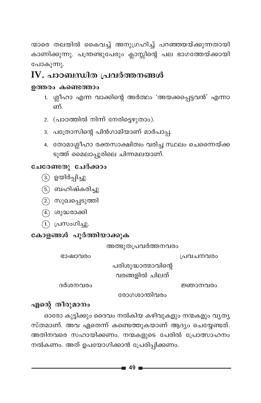ന്മാരെ തലയിൽ കൈവച്ച് അനുഗ്രഹിച്ച് പറഞ്ഞയയ്ക്കുന്നതായി കാണിക്കുന്നു. പന്ത്രണ്ടുപേരും ക്ലാസ്സിന്റെ പല ഭാഗത്തേയ്ക്കായി പോകുന്നു.

### IV. പാഠബന്ധിത പ്രവർത്തനങ്ങൾ

#### ഉത്തരം കണ്ടെത്താം

- 1. ശ്ലീഹാ എന്ന വാക്കിന്റെ അർത്ഥം 'അയക്കപ്പെട്ടവൻ' എന്നാ ണ്
- 2. (പാഠത്തിൽ നിന്ന് നേരിട്ടെഴുതാം).
- 3. പത്രോസിന്റെ പിൻഗാമിയാണ് മാർപാപ്പ.
- 4. തോമാശ്ലീഹാ രക്തസാക്ഷിത്വം വരിച്ച സ്ഥലം ചെന്നൈയ്ക്ക ടുത്ത് മൈലാപ്പൂരിലെ ചിന്നമലയാണ്.

### ചേരേണ്ടതു ചേർക്കാം

- (3.) ഉയിർപ്പിച്ചു
- (5.) ബഹിഷ്കരിച്ചു
- (2) സുഖപ്പെടുത്തി
- (4.) ശുദ്ധരാക്കി
- (1.) പ്രസംഗിച്ചു.

### കോളങ്ങൾ പൂർത്തിയാക്കുക

അത്ഭുതപ്രവർത്തനവരം

ഭാഷാവരം

പ്രവചനവരം

പരിശുദ്ധാത്മാവിന്റെ

വരങ്ങളിൽ ചിലത്

ദർശനവരം

ജ്ഞാനവരം

രോഗശാന്തിവരം

### എന്റെ തീരുമാനം

ഓരോ കുട്ടിക്കും ദൈവം നൽകിയ കഴിവുകളും നന്മകളും വൃത്യ സ്തമാണ്. അവ ഏതെന്ന് കണ്ടെത്തുകയാണ് ആദ്യം ചെയ്യേണ്ടത്. അതിനവരെ സഹായിക്കണം. നന്മകളുടെ പേരിൽ പ്രോത്സാഹനം നൽകണം. അത് ഉപയോഗിക്കാൻ പ്രേരിപ്പിക്കണം.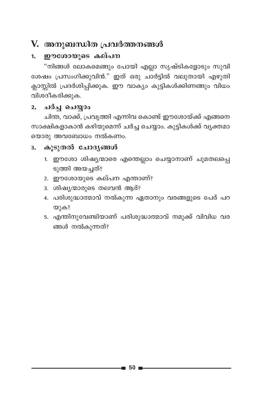## V. അനുബന്ധിത പ്രവർത്തനങ്ങൾ

#### ഈശോയുടെ കല്പന  $1.$

"നിങ്ങൾ ലോകമെങ്ങും പോയി എല്ലാ സൃഷ്ടികളോടും സുവി ശേഷം പ്രസംഗിക്കുവിൻ." ഇത് ഒരു ചാർട്ടിൽ വലുതായി എഴുതി ക്ലാസ്സിൽ പ്രദർശിപ്പിക്കുക. ഈ വാക്യം കുട്ടികൾക്കിണങ്ങും വിധം വിശദീകരിക്കുക.

#### ചർച്ച ചെയ്യാം  $2.$

ചിന്ത, വാക്ക്, പ്രവൃത്തി എന്നിവ കൊണ്ട് ഈശോയ്ക്ക് എങ്ങനെ സാക്ഷികളാകാൻ കഴിയുമെന്ന് ചർച്ച ചെയ്യാം. കുട്ടികൾക്ക് വ്യക്തമാ യൊരു അവബോധം നൽകണം.

#### കൂടുതൽ ചോദ്യങ്ങൾ  $3<sub>1</sub>$

- 1. ഈശോ ശിഷ്യന്മാരെ എന്തെല്ലാം ചെയ്യാനാണ് ചുമതലപ്പെ ടുത്തി അയച്ചത്?
- 2. ഈശോയുടെ കല്പന എന്താണ്?
- 3. ശിഷ്യന്മാരുടെ തലവൻ ആര്?
- 4. പരിശുദ്ധാത്മാവ് നൽകുന്ന ഏതാനും വരങ്ങളുടെ പേര് പറ യുക?
- 5. എന്തിനുവേണ്ടിയാണ് പരിശുദ്ധാത്മാവ് നമുക്ക് വിവിധ വര ങ്ങൾ നൽകുന്നത്?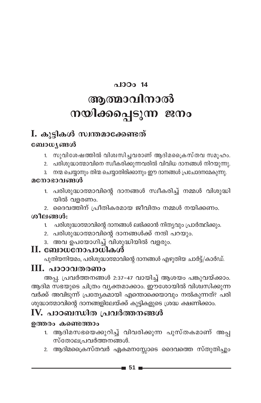# $0.130014$ ആത്മാവിനാൽ നയിക്കപ്പെടുന്ന ജനം

## I. കൂട്ടികൾ സ്വന്തമാക്കേണ്ടത്

### ബോധ്യങ്ങൾ

- 1. സുവിശേഷത്തിൽ വിശ്വസിച്ചവരാണ് ആദിമക്രൈസ്തവ സമുഹം.
- 2. പരിശുദ്ധാത്മാവിനെ സ്ഥീകരിക്കുന്നവരിൽ വിവിധ ദാനങ്ങൾ നിറയുന്നു.
- 3. നന്മ ചെയ്യാനും തിന്മ ചെയ്യാതിരിക്കാനും ഈ ദാനങ്ങൾ പ്രചോദനമേകുന്നു.

### മനോഭാവങ്ങൾ

- 1. പരിശുദ്ധാത്മാവിന്റെ ദാനങ്ങൾ സ്വീകരിച്ച് നമ്മൾ വിശുദ്ധി യിൽ വളരണം.
- 2. ദൈവത്തിന് പ്രീതികരമായ ജീവിതം നമ്മൾ നയിക്കണം.

### ശീലങ്ങൾ:

- 1. പരിശുദ്ധാത്മാവിന്റെ ദാനങ്ങൾ ലഭിക്കാൻ നിത്യവും പ്രാർത്ഥിക്കും.
- 2. പരിശുദ്ധാത്മാവിന്റെ ദാനങ്ങൾക്ക് നന്ദി പറയും.
- 3. അവ ഉപയോഗിച് വിശുദ്ധിയിൽ വളരും.

### II. ബോധനോപാധികൾ

പുതിയനിയമം, പരിശുദ്ധാത്മാവിന്റെ ദാനങ്ങൾ എഴുതിയ ചാർട്ട്/കാർഡ്.

### III. പാഠാവതരണം

അപ്പ. പ്രവർത്തനങ്ങൾ 2:37-47 വായിച്ച് ആശയം പങ്കുവയ്ക്കാം. ആദിമ സഭയുടെ ചിത്രം വ്യക്തമാക്കാം. ഈശോയിൽ വിശ്വസിക്കുന്ന വർക്ക് അവിടുന്ന് പ്രത്യേകമായി എന്തൊക്കെയാവും നൽകുന്നത്? പരി ശുദ്ധാത്മാവിന്റെ ദാനങ്ങളിലേയ്ക്ക് കുട്ടികളുടെ ശ്രദ്ധ ക്ഷണിക്കാം.

## IV. പാഠബന്ധിത പ്രവർത്തനങ്ങൾ

### ഉത്തരം കണ്ടെത്താം

- 1. ആദിമസഭയെക്കുറിച്ച് വിവരിക്കുന്ന പുസ്തകമാണ് അപ്പ സ്തോലപ്രവർത്തനങ്ങൾ.
- 2. ആദിമപ്രൈസ്തവർ ഏകമനസ്സോടെ ദൈവത്തെ സ്തുതിച്ചും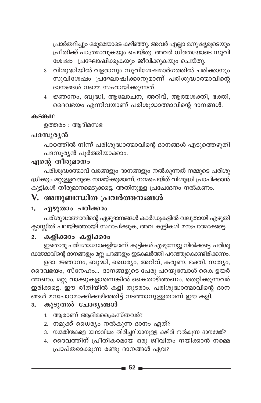പ്രാർത്ഥിച്ചും ഒരുമയോടെ കഴിഞ്ഞു. അവർ എല്ലാ മനുഷ്യരുടെയു<mark>ം</mark> പ്രീതിക്ക് പാത്രമാവുകയും ചെയ്തു. അവർ ധീരതയോടെ സുവി ശേഷം പ്രഘോഷിക്കുകയും ജീവിക്കുകയും ചെയ്തു.

- 3. വിശുദ്ധിയിൽ വളരാനും സുവിശേഷമാർഗത്തിൽ ചരിക്കാനും സുവിശേഷം പ്രഘോഷിക്കാനുമാണ് പരിശുദ്ധാത്മാവിന്റെ ദാനങ്ങൾ നമ്മെ സഹായിക്കുന്നത്.
- 4. ജ്ഞാനം, ബുദ്ധി, ആലോചന, അറിവ്, ആത്മശക്തി, ഭക്തി, ഭൈവഭയം എന്നിവയാണ് പരിശുദ്ധാത്മാവിന്റെ ദാനങ്ങൾ.

#### **க்**Sைம

ഉത്തരം $:$  ആദിമസഭ

### പദസൂര്യൻ

പാഠത്തിൽ നിന്ന് പരിശുദ്ധാത്മാവിന്റെ ദാനങ്ങൾ എടുത്തെഴുതി പദസൂര്യൻ പൂർത്തിയാക്കാം.

#### എന്റെ തീരുമാനം

പരിശുദ്ധാത്മാവ് വരങ്ങളും ദാനങ്ങളും നൽകുന്നത് നമ്മുടെ പരിശു ദ്ധിക്കും മറ്റുള്ളവരുടെ നന്മയ്ക്കുമാണ്. നന്മചെയ്ത് വിശുദ്ധി പ്രാപിക്കാൻ കുട്ടികൾ തീരുമാനമെടുക്കട്ടെ. അതിനുള്ള പ്രചോദനം നൽകണം.

### $\bf{V.}$  അനുബന്ധിത പ്രവർത്തനങ്ങൾ

### 1. എഴുതാം പഠിക്കാം

പരിശുദ്ധാത്മാവിന്റെ ഏഴുദാനങ്ങൾ കാർഡുകളിൽ വലുതായി എഴുതി ക്ലാസ്സിൽ പലയിടത്തായി സ്ഥാപിക്കുക, അവ കുട്ടികൾ മനഃപാഠമാക്കട്ടെ.

#### 2. **കളിക്കാം** കളിക്കാം

CsXmcp ]cn-tim-[-\m-I-fn-bm-Wv. Ip´n-Iƒ Fgp-t∂‰p \n¬°-s´. ]cn-ip-  $\alpha$ ദ്ധാത്മാവിന്റെ ദാനങ്ങളും മറ്റു പദങ്ങളും ഇടകലർത്തി പറഞ്ഞുകൊണ്ടിരിക്കണം.

ഉദാ: ജ്ഞാനം, ബുദ്ധി, ധൈര്യം, അറിവ്, കരുണ, ഭക്തി, സത്യം, ദൈവഭയം, സ്നേഹം... ദാനങ്ങളുടെ പേരു പറയുമ്പോൾ കൈ ഉയർ ത്തണം. മറ്റു വാക്കുകളാണെങ്കിൽ കൈതാഴ്ത്തണം. തെറ്റിക്കുന്നവർ ഇരിക്കട്ടെ. `ഈ രീതിയിൽ കളി തുടരാം. പരിശുദ്ധാത്മാവിന്റെ ദാന ߃ a\x-]m-T-am-°n-°-gn-™n´v \S-Øm-\p-≈-XmWv Cu Ifn.

### 3. കൂടുതൽ ചോദ്യങ്ങൾ

- 1. ആരാണ് ആദിമപ്രൈസ്തവർ?
- 2. നമുക്ക് ധൈര്യം നൽകുന്ന ദാനം ഏത്?
- 3. നന്മതിന്മകളെ യഥാവിധം തിരിച്ചറിയാനുള്ള കഴിവ് നൽകുന്ന ദാനമേത്?
- 4. ദൈവത്തിന് പ്രീതികരമായ ഒരു ജീവിതം നയിക്കാൻ നമ്മെ (പാപ്തരാക്കുന്ന രണ്ടു ദാനങ്ങൾ ഏവ?

**52**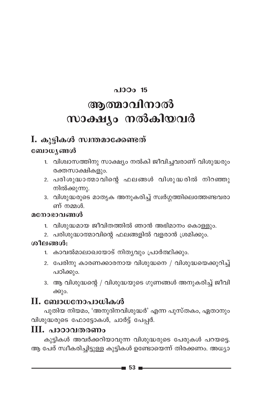# പാഠം 15 ആത്മാവിനാൽ സാക്ഷ്യം നൽകിയവർ

### I. കൂട്ടികൾ സ്വന്തമാക്കേണ്ടത്

### ബോധ്യങ്ങൾ

- 1. വിശ്വാസത്തിനു സാക്ഷ്യം നൽകി ജീവിച്ചവരാണ് വിശുദ്ധരും രക്തസാക്ഷികളും.
- 2. പരിശുദ്ധാത്മാവിന്റെ ഫലങ്ങൾ വിശുദ്ധരിൽ നിറഞ്ഞു നിൽക്കുന്നു.
- 3. വിശുദ്ധരുടെ മാതൃക അനുകരിച്ച് സ്വർഗ്ഗത്തിലെത്തേണ്ടവരാ ണ് നമ്മൾ

#### മനോഭാവങ്ങൾ

- 1. വിശുദ്ധമായ ജീവിതത്തിൽ ഞാൻ അഭിമാനം കൊള്ളും.
- 2. പരിശുദ്ധാത്മാവിന്റെ ഫലങ്ങളിൽ വളരാൻ ശ്രമിക്കും.

### ശീലങ്ങൾ:

- 1. കാവൽമാലാഖയോട് നിത്യവും പ്രാർത്ഥിക്കും.
- 2. പേരിനു കാരണക്കാരനായ വിശുദ്ധനെ / വിശുദ്ധയെക്കുറിച്ച് പഠിക്കും.
- 3. ആ വിശുദ്ധന്റെ / വിശുദ്ധയുടെ ഗുണങ്ങൾ അനുകരിച്ച് ജീവി ക്കും.

### $\mathbf H$ . ബോധനോപാധികൾ

പുതിയ നിയമം, 'അനുദിനവിശുദ്ധർ' എന്ന പുസ്തകം, ഏതാനും വിശുദ്ധരുടെ ഫോട്ടോകൾ, ചാർട്ട് പേപ്പർ.

### III. പാഠാവതരണം

കുട്ടികൾ അവർക്കറിയാവുന്ന വിശുദ്ധരുടെ പേരുകൾ പറയട്ടെ. ആ പേര് സ്വീകരിച്ചിട്ടുള്ള കുട്ടികൾ ഉണ്ടോയെന്ന് തിരക്കണം. അധ്യാ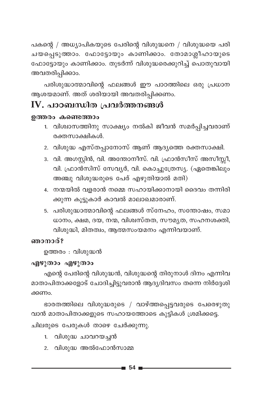പകന്റെ / അധ്യാപികയുടെ പേരിന്റെ വിശുദ്ധനെ / വിശുദ്ധയെ പരി ചയപ്പെടുത്താം. ഫോട്ടോയും കാണിക്കാം. തോമാശ്ലീഹായുടെ ഫോട്ടോയും കാണിക്കാം. തുടർന്ന് വിശുദ്ധരെക്കുറിച്ച് പൊതുവായി അവതരിപ്പിക്കാം.

പരിശുദ്ധാത്മാവിന്റെ ഫലങ്ങൾ ഈ പാഠത്തിലെ ഒരു പ്രധാന ആശയമാണ്. അത് ശരിയായി അവതരിപ്പിക്കണം.

### $\mathbf W$ . പാഠബന്ധിത പ്രവർത്തനങ്ങൾ

#### ഉത്തരം കണ്ടെത്താം

- 1. വിശ്വാസത്തിനു സാക്ഷ്യം നൽകി ജീവൻ സമർപ്പിച്ചവരാണ് രക്തസാക്ഷികൾ.
- 2. വിശുദ്ധ എസ്തപ്പാനോസ് ആണ് ആദ്യത്തെ രക്തസാക്ഷി.
- 3. വി. അഗസ്റ്റിൻ, വി. അന്തോനീസ്. വി. ഫ്രാൻസീസ് അസീസ്സീ, വി. ഫ്രാൻസിസ് സേവ്യർ, വി. കൊച്ചുത്രേസ്യ. (ഏതെങ്കിലും അഞ്ചു വിശുദ്ധരുടെ പേര് എഴുതിയാൽ മതി)
- 4. നന്മയിൽ വളരാൻ നമ്മെ സഹായിക്കാനായി ദൈവം തന്നിരി ക്കുന്ന കൂട്ടുകാർ കാവൽ മാലാഖമാരാണ്.
- 5. പരിശുദ്ധാത്മാവിന്റെ ഫലങ്ങൾ സ്നേഹം, സന്തോഷം, സമാ ധാനം, ക്ഷമ, ദയ, നന്മ, വിശ്വസ്തത, സൗമൃത, സഹനശക്തി, വിശുദ്ധി, മിതത്വം, ആത്മസംയമനം എന്നിവയാണ്.

#### ഞാനാര്?

ഉത്തരം : വിശുദ്ധൻ

### എഴുതാം എഴുതാം

എന്റെ പേരിന്റെ വിശുദ്ധൻ, വിശുദ്ധന്റെ തിരുനാൾ ദിനം എന്നിവ മാതാപിതാക്കളോട് ചോദിച്ചിട്ടുവരാൻ ആദ്യദിവസം തന്നെ നിർദ്ദേശി ക്കണം.

ഭാരതത്തിലെ വിശുദ്ധരുടെ / വാഴ്ത്തപ്പെട്ടവരുടെ പേരെഴുതു വാൻ മാതാപിതാക്കളുടെ സഹായത്തോടെ കുട്ടികൾ ശ്രമിക്കട്ടെ. ചിലരുടെ പേരുകൾ താഴെ ചേർക്കുന്നു.

- 1. വിശുദ്ധ ചാവറയച്ചൻ
- 2. വിശുദ്ധ അൽഫോൻസാമ്മ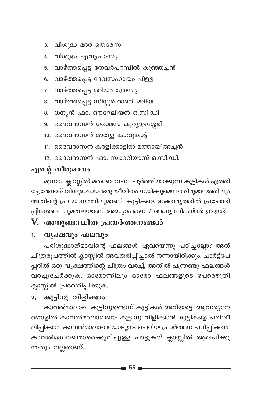പ്പിക്കേണ്ട ചുമതലയാണ് അദ്ധ്യാപകന് / അദ്ധ്യാപികയ്ക്ക് ഉള്ളത്.

11. ദൈവദാസൻ കദളിക്കാട്ടിൽ മത്തായിഅച്ചൻ 12. ദൈവദാസൻ ഫാ. സക്കറിയാസ് ഒ.സി.ഡി.

5. വാഴ്ത്തപ്പെട്ട തേവർപറമ്പിൽ കുഞ്ഞച്ചൻ

6. വാഴ്ത്തപ്പെട്ട ദേവസഹായം പിള്ള

8. വാഴ്ത്തപ്പെട്ട സിസ്റ്റർ റാണി മരിയ 8. ധന്യൻ ഫാ. ഔറേലിയൻ ഒ.സി.ഡി. 9. ദൈവദാസൻ തോമസ് കുര്യാളശ്ശേരി

10. ദൈവദാസൻ മാത്യു കാവുകാട്ട്

7. വാഴ്ത്തപ്പെട്ട മറിയം ത്രേസ്യ

## V. അനുബന്ധിത പ്രവർത്തനങ്ങൾ

3. വിശുദ്ധ മദർ തെരേസ 4. വിശുദ്ധ എവുപ്രാസ്യ

#### 1. വൃക്ഷവും ഫലവും

എന്റെ തീരുമാനം

പരിശുദ്ധാത്മാവിന്റെ ഫലങ്ങൾ ഏവയെന്നു പഠിച്ചല്ലോ? അത് ചിത്രരൂപത്തിൽ ക്ലാസ്സിൽ അവതരിപ്പിച്ചാൽ നന്നായിരിക്കും. ചാർട്ട്പേ പ്പറിൽ ഒരു വൃക്ഷത്തിന്റെ ചിത്രം വരച്ച്, അതിൽ പന്ത്രണ്ടു ഫലങ്ങൾ വരച്ചുചേർക്കുക. ഓരോന്നിലും ഓരോ ഫലങ്ങളുടെ പേരെഴുതി ക്ലാസ്സിൽ പ്രദർശിപ്പിക്കുക.

മൂന്നാം ക്ലാസ്സിൽ മതബോധനം പൂർത്തിയാക്കുന്ന കുട്ടികൾ എത്തി ച്ചേരേണ്ടത് വിശുദ്ധമായ ഒരു ജീവിതം നയിക്കുമെന്ന തീരുമാനത്തിലും അതിന്റെ പ്രയോഗത്തിലുമാണ്. കുട്ടികളെ ഇക്കാര്യത്തിൽ പ്രചോദി

#### കൂട്ടിനു വിളിക്കാം  $2.$

കാവൽമാലാഖ കൂട്ടിനുണ്ടെന്ന് കുട്ടികൾ അറിയട്ടെ. ആവശ്യനേ രങ്ങളിൽ കാവൽമാലാഖയെ കൂട്ടിനു വിളിക്കാൻ കുട്ടികളെ പരിശീ ലിപ്പിക്കാം. കാവൽമാലാഖയോടുള്ള ചെറിയ പ്രാർത്ഥന പഠിപ്പിക്കാം. കാവൽമാലാഖമാരെക്കുറിച്ചുള്ള പാട്ടുകൾ ക്ലാസ്സിൽ ആലപിക്കു ന്നതും നല്ലതാണ്.

- 55 ∎